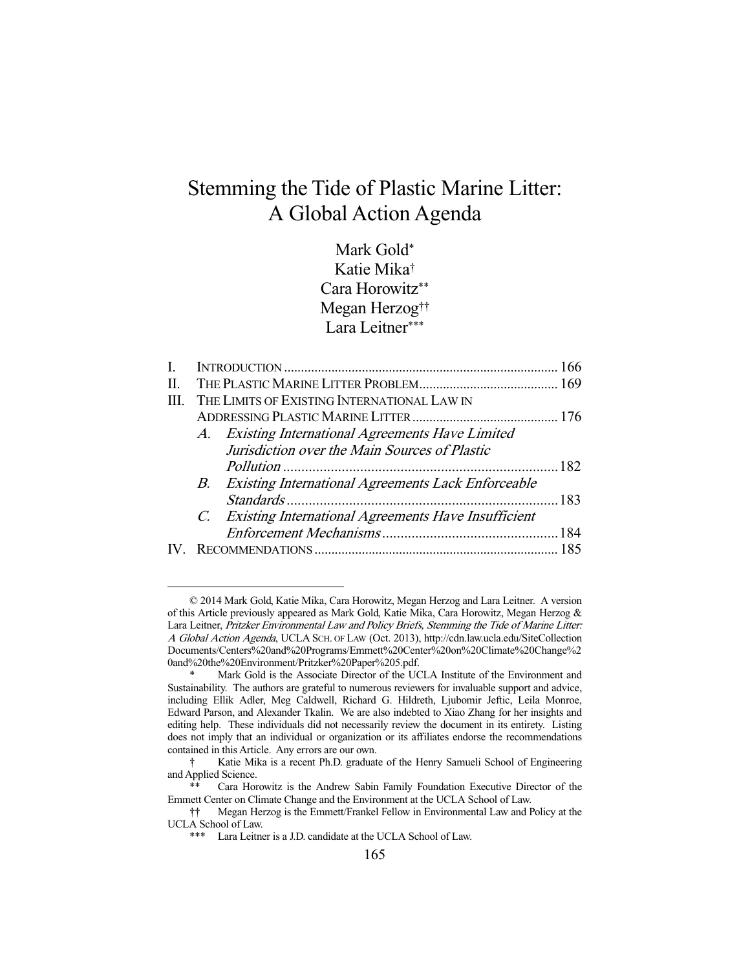# Stemming the Tide of Plastic Marine Litter: A Global Action Agenda

## Mark Gold\* Katie Mika† Cara Horowitz\*\* Megan Herzog†† Lara Leitner\*\*\*

| L. |  |                                                        |  |  |  |
|----|--|--------------------------------------------------------|--|--|--|
| Π. |  |                                                        |  |  |  |
| Ш. |  | THE LIMITS OF EXISTING INTERNATIONAL LAW IN            |  |  |  |
|    |  |                                                        |  |  |  |
|    |  | A. Existing International Agreements Have Limited      |  |  |  |
|    |  | Jurisdiction over the Main Sources of Plastic          |  |  |  |
|    |  |                                                        |  |  |  |
|    |  | B. Existing International Agreements Lack Enforceable  |  |  |  |
|    |  |                                                        |  |  |  |
|    |  | C. Existing International Agreements Have Insufficient |  |  |  |
|    |  |                                                        |  |  |  |
|    |  |                                                        |  |  |  |
|    |  |                                                        |  |  |  |

 <sup>© 2014</sup> Mark Gold, Katie Mika, Cara Horowitz, Megan Herzog and Lara Leitner. A version of this Article previously appeared as Mark Gold, Katie Mika, Cara Horowitz, Megan Herzog & Lara Leitner, Pritzker Environmental Law and Policy Briefs, Stemming the Tide of Marine Litter: A Global Action Agenda, UCLA SCH. OF LAW (Oct. 2013), http://cdn.law.ucla.edu/SiteCollection Documents/Centers%20and%20Programs/Emmett%20Center%20on%20Climate%20Change%2 0and%20the%20Environment/Pritzker%20Paper%205.pdf.

Mark Gold is the Associate Director of the UCLA Institute of the Environment and Sustainability. The authors are grateful to numerous reviewers for invaluable support and advice, including Ellik Adler, Meg Caldwell, Richard G. Hildreth, Ljubomir Jeftic, Leila Monroe, Edward Parson, and Alexander Tkalin. We are also indebted to Xiao Zhang for her insights and editing help. These individuals did not necessarily review the document in its entirety. Listing does not imply that an individual or organization or its affiliates endorse the recommendations contained in this Article. Any errors are our own.

 <sup>†</sup> Katie Mika is a recent Ph.D. graduate of the Henry Samueli School of Engineering and Applied Science.

Cara Horowitz is the Andrew Sabin Family Foundation Executive Director of the Emmett Center on Climate Change and the Environment at the UCLA School of Law.

 <sup>††</sup> Megan Herzog is the Emmett/Frankel Fellow in Environmental Law and Policy at the UCLA School of Law.

 <sup>\*\*\*</sup> Lara Leitner is a J.D. candidate at the UCLA School of Law.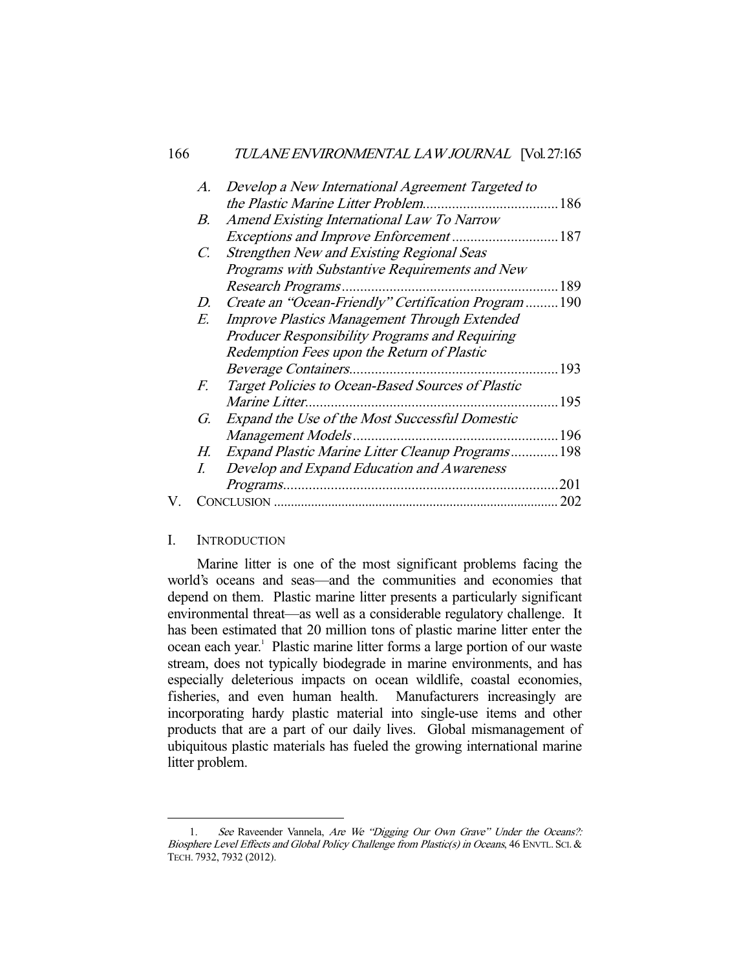| A.          | Develop a New International Agreement Targeted to       |     |
|-------------|---------------------------------------------------------|-----|
|             |                                                         |     |
| В.          | Amend Existing International Law To Narrow              |     |
|             |                                                         |     |
| $C_{\cdot}$ | <b>Strengthen New and Existing Regional Seas</b>        |     |
|             | Programs with Substantive Requirements and New          |     |
|             |                                                         | 189 |
| D.          | Create an "Ocean-Friendly" Certification Program  190   |     |
| E.          | <b>Improve Plastics Management Through Extended</b>     |     |
|             | Producer Responsibility Programs and Requiring          |     |
|             | Redemption Fees upon the Return of Plastic              |     |
|             |                                                         | 193 |
| F.          | Target Policies to Ocean-Based Sources of Plastic       |     |
|             |                                                         | 195 |
| G.          | Expand the Use of the Most Successful Domestic          |     |
|             |                                                         |     |
| Н.          | <b>Expand Plastic Marine Litter Cleanup Programs198</b> |     |
|             | Develop and Expand Education and Awareness              |     |
|             |                                                         | 201 |
|             |                                                         |     |
|             |                                                         |     |

#### I. INTRODUCTION

-

 Marine litter is one of the most significant problems facing the world's oceans and seas—and the communities and economies that depend on them. Plastic marine litter presents a particularly significant environmental threat—as well as a considerable regulatory challenge. It has been estimated that 20 million tons of plastic marine litter enter the ocean each year.<sup>1</sup> Plastic marine litter forms a large portion of our waste stream, does not typically biodegrade in marine environments, and has especially deleterious impacts on ocean wildlife, coastal economies, fisheries, and even human health. Manufacturers increasingly are incorporating hardy plastic material into single-use items and other products that are a part of our daily lives. Global mismanagement of ubiquitous plastic materials has fueled the growing international marine litter problem.

<sup>1.</sup> See Raveender Vannela, Are We "Digging Our Own Grave" Under the Oceans?: Biosphere Level Effects and Global Policy Challenge from Plastic(s) in Oceans, 46 ENVTL. SCI. & TECH. 7932, 7932 (2012).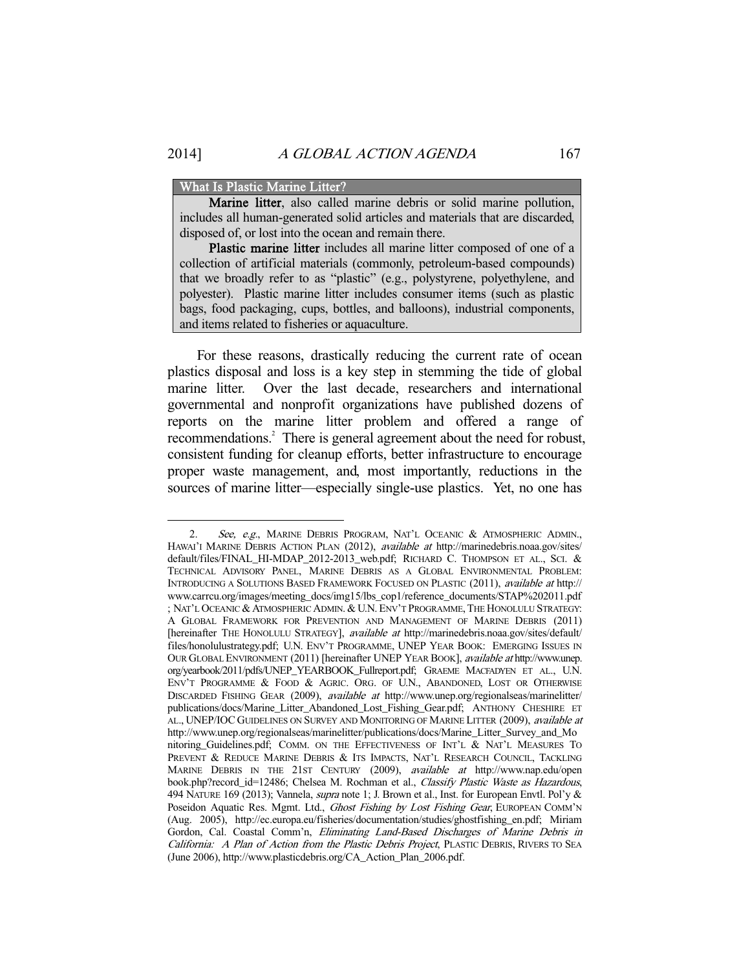#### What Is Plastic Marine Litter?

Marine litter, also called marine debris or solid marine pollution, includes all human-generated solid articles and materials that are discarded, disposed of, or lost into the ocean and remain there.

Plastic marine litter includes all marine litter composed of one of a collection of artificial materials (commonly, petroleum-based compounds) that we broadly refer to as "plastic" (e.g., polystyrene, polyethylene, and polyester). Plastic marine litter includes consumer items (such as plastic bags, food packaging, cups, bottles, and balloons), industrial components, and items related to fisheries or aquaculture.

 For these reasons, drastically reducing the current rate of ocean plastics disposal and loss is a key step in stemming the tide of global marine litter. Over the last decade, researchers and international governmental and nonprofit organizations have published dozens of reports on the marine litter problem and offered a range of recommendations.<sup>2</sup> There is general agreement about the need for robust, consistent funding for cleanup efforts, better infrastructure to encourage proper waste management, and, most importantly, reductions in the sources of marine litter—especially single-use plastics. Yet, no one has

<sup>2.</sup> See, e.g., MARINE DEBRIS PROGRAM, NAT'L OCEANIC & ATMOSPHERIC ADMIN. HAWAI'I MARINE DEBRIS ACTION PLAN (2012), *available at* http://marinedebris.noaa.gov/sites/ default/files/FINAL\_HI-MDAP\_2012-2013\_web.pdf; RICHARD C. THOMPSON ET AL., SCI. & TECHNICAL ADVISORY PANEL, MARINE DEBRIS AS A GLOBAL ENVIRONMENTAL PROBLEM: INTRODUCING A SOLUTIONS BASED FRAMEWORK FOCUSED ON PLASTIC (2011), available at http:// www.carrcu.org/images/meeting\_docs/img15/lbs\_cop1/reference\_documents/STAP%202011.pdf ; NAT'L OCEANIC & ATMOSPHERIC ADMIN. & U.N. ENV'T PROGRAMME, THE HONOLULU STRATEGY: A GLOBAL FRAMEWORK FOR PREVENTION AND MANAGEMENT OF MARINE DEBRIS (2011) [hereinafter THE HONOLULU STRATEGY], available at http://marinedebris.noaa.gov/sites/default/ files/honolulustrategy.pdf; U.N. ENV'T PROGRAMME, UNEP YEAR BOOK: EMERGING ISSUES IN OUR GLOBAL ENVIRONMENT (2011) [hereinafter UNEP YEAR BOOK], available at http://www.unep. org/yearbook/2011/pdfs/UNEP\_YEARBOOK\_Fullreport.pdf; GRAEME MACFADYEN ET AL., U.N. ENV'T PROGRAMME & FOOD & AGRIC. ORG. OF U.N., ABANDONED, LOST OR OTHERWISE DISCARDED FISHING GEAR (2009), available at http://www.unep.org/regionalseas/marinelitter/ publications/docs/Marine\_Litter\_Abandoned\_Lost\_Fishing\_Gear.pdf; ANTHONY CHESHIRE ET AL., UNEP/IOC GUIDELINES ON SURVEY AND MONITORING OF MARINE LITTER (2009), available at http://www.unep.org/regionalseas/marinelitter/publications/docs/Marine\_Litter\_Survey\_and\_Mo nitoring Guidelines.pdf; COMM. ON THE EFFECTIVENESS OF INT'L & NAT'L MEASURES TO PREVENT & REDUCE MARINE DEBRIS & ITS IMPACTS, NAT'L RESEARCH COUNCIL, TACKLING MARINE DEBRIS IN THE 21ST CENTURY (2009), available at http://www.nap.edu/open book.php?record\_id=12486; Chelsea M. Rochman et al., Classify Plastic Waste as Hazardous, 494 NATURE 169 (2013); Vannela, *supra* note 1; J. Brown et al., Inst. for European Envtl. Pol'y & Poseidon Aquatic Res. Mgmt. Ltd., Ghost Fishing by Lost Fishing Gear, EUROPEAN COMM'N (Aug. 2005), http://ec.europa.eu/fisheries/documentation/studies/ghostfishing\_en.pdf; Miriam Gordon, Cal. Coastal Comm'n, Eliminating Land-Based Discharges of Marine Debris in California: A Plan of Action from the Plastic Debris Project, PLASTIC DEBRIS, RIVERS TO SEA (June 2006), http://www.plasticdebris.org/CA\_Action\_Plan\_2006.pdf.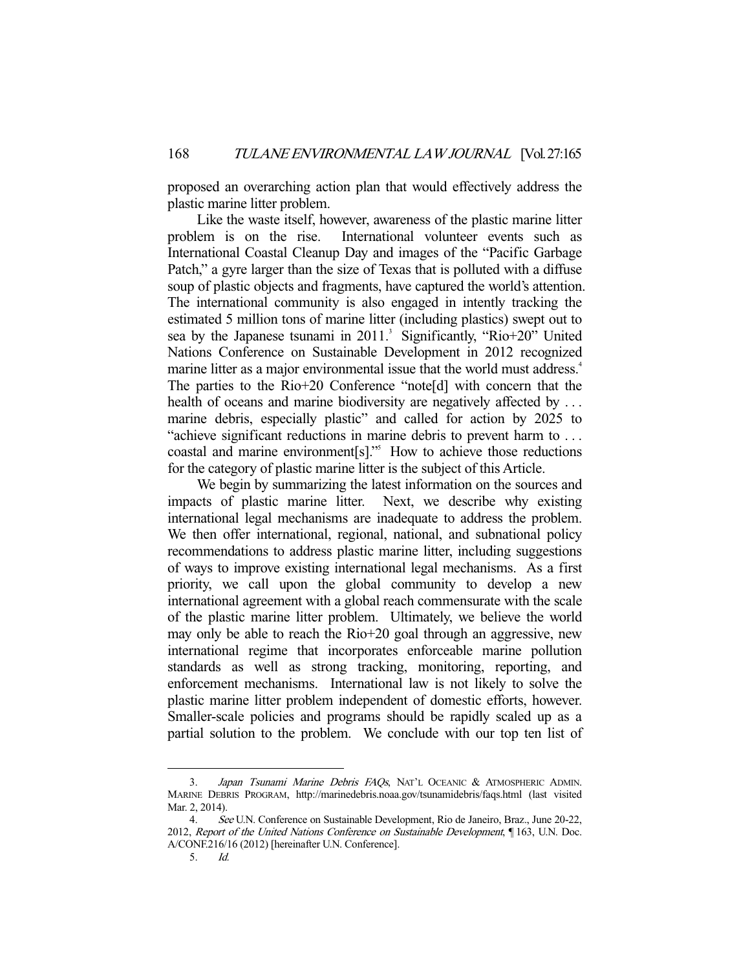proposed an overarching action plan that would effectively address the plastic marine litter problem.

 Like the waste itself, however, awareness of the plastic marine litter problem is on the rise. International volunteer events such as International Coastal Cleanup Day and images of the "Pacific Garbage Patch," a gyre larger than the size of Texas that is polluted with a diffuse soup of plastic objects and fragments, have captured the world's attention. The international community is also engaged in intently tracking the estimated 5 million tons of marine litter (including plastics) swept out to sea by the Japanese tsunami in 2011.<sup>3</sup> Significantly, "Rio+20" United Nations Conference on Sustainable Development in 2012 recognized marine litter as a major environmental issue that the world must address.<sup>4</sup> The parties to the Rio+20 Conference "note[d] with concern that the health of oceans and marine biodiversity are negatively affected by ... marine debris, especially plastic" and called for action by 2025 to "achieve significant reductions in marine debris to prevent harm to . . . coastal and marine environment[s]."5 How to achieve those reductions for the category of plastic marine litter is the subject of this Article.

 We begin by summarizing the latest information on the sources and impacts of plastic marine litter. Next, we describe why existing international legal mechanisms are inadequate to address the problem. We then offer international, regional, national, and subnational policy recommendations to address plastic marine litter, including suggestions of ways to improve existing international legal mechanisms. As a first priority, we call upon the global community to develop a new international agreement with a global reach commensurate with the scale of the plastic marine litter problem. Ultimately, we believe the world may only be able to reach the Rio+20 goal through an aggressive, new international regime that incorporates enforceable marine pollution standards as well as strong tracking, monitoring, reporting, and enforcement mechanisms. International law is not likely to solve the plastic marine litter problem independent of domestic efforts, however. Smaller-scale policies and programs should be rapidly scaled up as a partial solution to the problem. We conclude with our top ten list of

<sup>3.</sup> Japan Tsunami Marine Debris FAQs, NAT'L OCEANIC & ATMOSPHERIC ADMIN. MARINE DEBRIS PROGRAM, http://marinedebris.noaa.gov/tsunamidebris/faqs.html (last visited Mar. 2, 2014).

 <sup>4.</sup> See U.N. Conference on Sustainable Development, Rio de Janeiro, Braz., June 20-22, 2012, Report of the United Nations Conference on Sustainable Development, ¶ 163, U.N. Doc. A/CONF.216/16 (2012) [hereinafter U.N. Conference].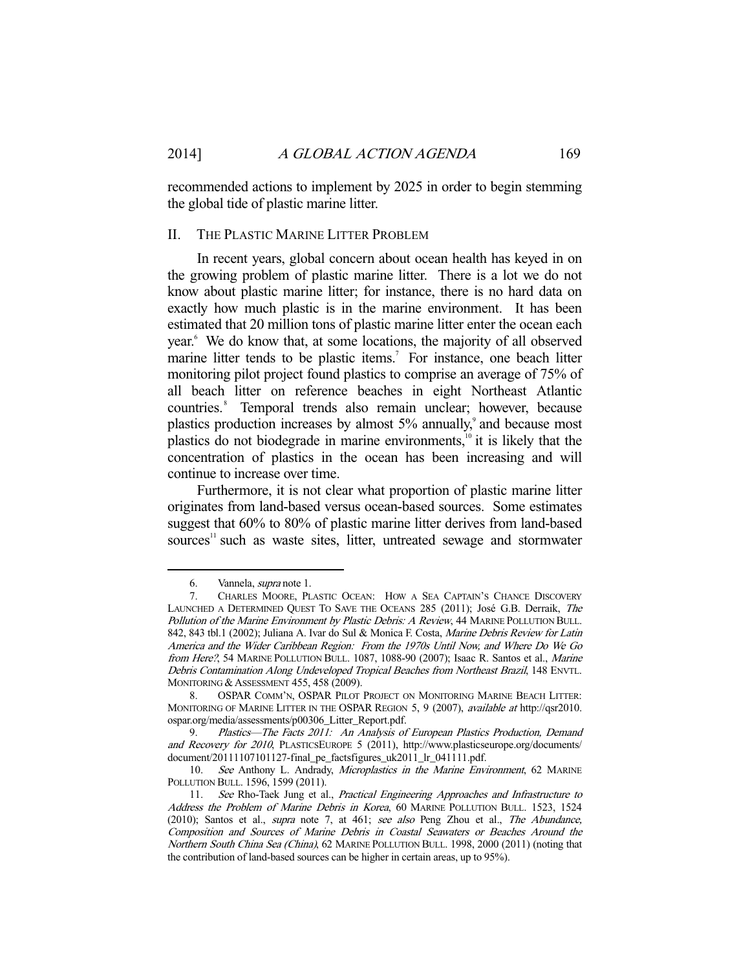recommended actions to implement by 2025 in order to begin stemming the global tide of plastic marine litter.

#### II. THE PLASTIC MARINE LITTER PROBLEM

 In recent years, global concern about ocean health has keyed in on the growing problem of plastic marine litter. There is a lot we do not know about plastic marine litter; for instance, there is no hard data on exactly how much plastic is in the marine environment. It has been estimated that 20 million tons of plastic marine litter enter the ocean each year.<sup>6</sup> We do know that, at some locations, the majority of all observed marine litter tends to be plastic items.<sup>7</sup> For instance, one beach litter monitoring pilot project found plastics to comprise an average of 75% of all beach litter on reference beaches in eight Northeast Atlantic countries.<sup>8</sup> Temporal trends also remain unclear; however, because plastics production increases by almost 5% annually,<sup>9</sup> and because most plastics do not biodegrade in marine environments, $10$  it is likely that the concentration of plastics in the ocean has been increasing and will continue to increase over time.

 Furthermore, it is not clear what proportion of plastic marine litter originates from land-based versus ocean-based sources. Some estimates suggest that 60% to 80% of plastic marine litter derives from land-based sources<sup>11</sup> such as waste sites, litter, untreated sewage and stormwater

 <sup>6.</sup> Vannela, supra note 1.

 <sup>7.</sup> CHARLES MOORE, PLASTIC OCEAN: HOW A SEA CAPTAIN'S CHANCE DISCOVERY LAUNCHED A DETERMINED QUEST TO SAVE THE OCEANS 285 (2011); José G.B. Derraik, The Pollution of the Marine Environment by Plastic Debris: A Review, 44 MARINE POLLUTION BULL. 842, 843 tbl.1 (2002); Juliana A. Ivar do Sul & Monica F. Costa, Marine Debris Review for Latin America and the Wider Caribbean Region: From the 1970s Until Now, and Where Do We Go from Here?, 54 MARINE POLLUTION BULL. 1087, 1088-90 (2007); Isaac R. Santos et al., Marine Debris Contamination Along Undeveloped Tropical Beaches from Northeast Brazil, 148 ENVTL. MONITORING & ASSESSMENT 455, 458 (2009).

 <sup>8.</sup> OSPAR COMM'N, OSPAR PILOT PROJECT ON MONITORING MARINE BEACH LITTER: MONITORING OF MARINE LITTER IN THE OSPAR REGION 5, 9 (2007), available at http://qsr2010. ospar.org/media/assessments/p00306\_Litter\_Report.pdf.

 <sup>9.</sup> Plastics—The Facts 2011: An Analysis of European Plastics Production, Demand and Recovery for 2010, PLASTICSEUROPE 5 (2011), http://www.plasticseurope.org/documents/ document/20111107101127-final\_pe\_factsfigures\_uk2011\_lr\_041111.pdf.

<sup>10.</sup> See Anthony L. Andrady, Microplastics in the Marine Environment, 62 MARINE POLLUTION BULL. 1596, 1599 (2011).

<sup>11.</sup> See Rho-Taek Jung et al., Practical Engineering Approaches and Infrastructure to Address the Problem of Marine Debris in Korea, 60 MARINE POLLUTION BULL. 1523, 1524 (2010); Santos et al., supra note 7, at 461; see also Peng Zhou et al., The Abundance, Composition and Sources of Marine Debris in Coastal Seawaters or Beaches Around the Northern South China Sea (China), 62 MARINE POLLUTION BULL. 1998, 2000 (2011) (noting that the contribution of land-based sources can be higher in certain areas, up to 95%).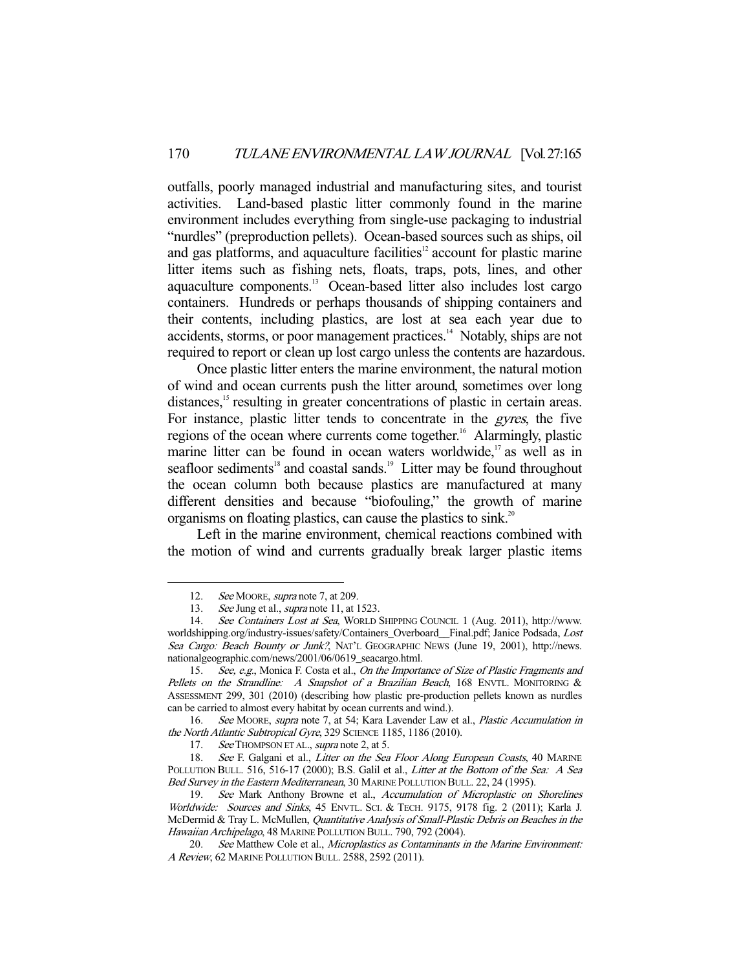outfalls, poorly managed industrial and manufacturing sites, and tourist activities. Land-based plastic litter commonly found in the marine environment includes everything from single-use packaging to industrial "nurdles" (preproduction pellets). Ocean-based sources such as ships, oil and gas platforms, and aquaculture facilities<sup>12</sup> account for plastic marine litter items such as fishing nets, floats, traps, pots, lines, and other aquaculture components.13 Ocean-based litter also includes lost cargo containers. Hundreds or perhaps thousands of shipping containers and their contents, including plastics, are lost at sea each year due to accidents, storms, or poor management practices.<sup>14</sup> Notably, ships are not required to report or clean up lost cargo unless the contents are hazardous.

 Once plastic litter enters the marine environment, the natural motion of wind and ocean currents push the litter around, sometimes over long distances,<sup>15</sup> resulting in greater concentrations of plastic in certain areas. For instance, plastic litter tends to concentrate in the gyres, the five regions of the ocean where currents come together.<sup>16</sup> Alarmingly, plastic marine litter can be found in ocean waters worldwide, $\frac{1}{2}$  as well as in seafloor sediments<sup>18</sup> and coastal sands.<sup>19</sup> Litter may be found throughout the ocean column both because plastics are manufactured at many different densities and because "biofouling," the growth of marine organisms on floating plastics, can cause the plastics to sink.<sup>20</sup>

 Left in the marine environment, chemical reactions combined with the motion of wind and currents gradually break larger plastic items

<sup>12.</sup> See MOORE, supra note 7, at 209.

<sup>13.</sup> See Jung et al., *supra* note 11, at 1523.

 <sup>14.</sup> See Containers Lost at Sea, WORLD SHIPPING COUNCIL 1 (Aug. 2011), http://www. worldshipping.org/industry-issues/safety/Containers\_Overboard\_\_Final.pdf; Janice Podsada, Lost Sea Cargo: Beach Bounty or Junk?, NAT'L GEOGRAPHIC NEWS (June 19, 2001), http://news. nationalgeographic.com/news/2001/06/0619\_seacargo.html.

<sup>15.</sup> See, e.g., Monica F. Costa et al., On the Importance of Size of Plastic Fragments and Pellets on the Strandline: A Snapshot of a Brazilian Beach, 168 ENVTL. MONITORING & ASSESSMENT 299, 301 (2010) (describing how plastic pre-production pellets known as nurdles can be carried to almost every habitat by ocean currents and wind.).

 <sup>16.</sup> See MOORE, supra note 7, at 54; Kara Lavender Law et al., Plastic Accumulation in the North Atlantic Subtropical Gyre, 329 SCIENCE 1185, 1186 (2010).

<sup>17.</sup> See THOMPSON ET AL., supra note 2, at 5.

<sup>18.</sup> See F. Galgani et al., Litter on the Sea Floor Along European Coasts, 40 MARINE POLLUTION BULL. 516, 516-17 (2000); B.S. Galil et al., Litter at the Bottom of the Sea: A Sea Bed Survey in the Eastern Mediterranean, 30 MARINE POLLUTION BULL. 22, 24 (1995).

 <sup>19.</sup> See Mark Anthony Browne et al., Accumulation of Microplastic on Shorelines Worldwide: Sources and Sinks, 45 ENVTL. SCI. & TECH. 9175, 9178 fig. 2 (2011); Karla J. McDermid & Tray L. McMullen, Quantitative Analysis of Small-Plastic Debris on Beaches in the Hawaiian Archipelago, 48 MARINE POLLUTION BULL. 790, 792 (2004).

<sup>20.</sup> See Matthew Cole et al., Microplastics as Contaminants in the Marine Environment: A Review, 62 MARINE POLLUTION BULL. 2588, 2592 (2011).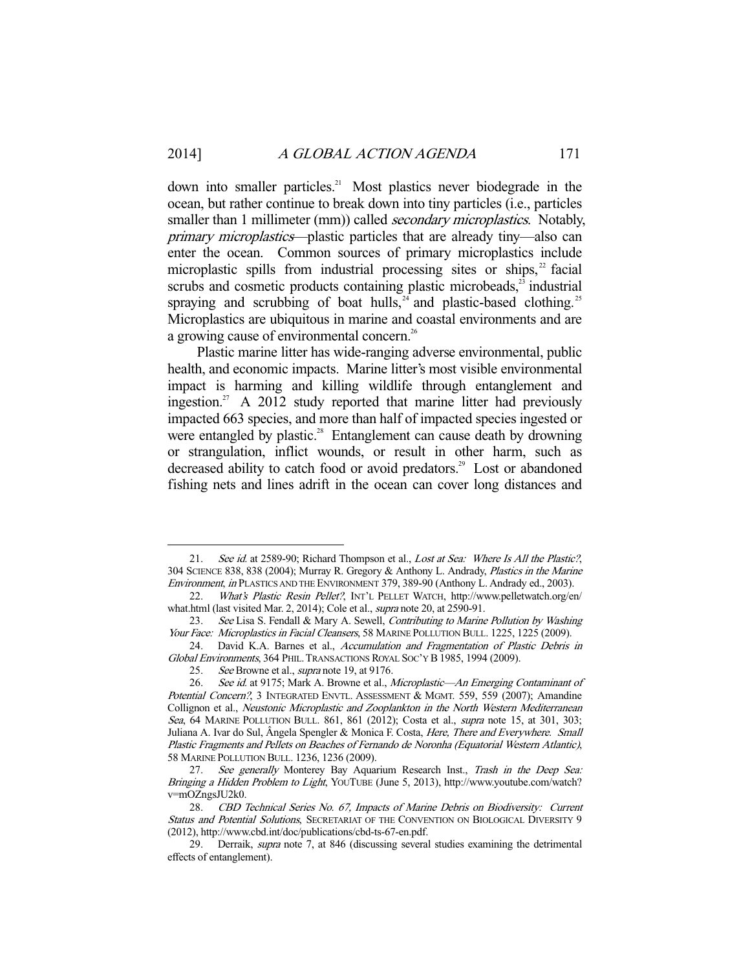down into smaller particles.<sup>21</sup> Most plastics never biodegrade in the ocean, but rather continue to break down into tiny particles (i.e., particles smaller than 1 millimeter (mm)) called *secondary microplastics*. Notably, primary microplastics—plastic particles that are already tiny—also can enter the ocean. Common sources of primary microplastics include microplastic spills from industrial processing sites or ships, $2^2$  facial scrubs and cosmetic products containing plastic microbeads, $23$  industrial spraying and scrubbing of boat hulls, $24$  and plastic-based clothing.<sup>25</sup> Microplastics are ubiquitous in marine and coastal environments and are a growing cause of environmental concern.<sup>26</sup>

 Plastic marine litter has wide-ranging adverse environmental, public health, and economic impacts. Marine litter's most visible environmental impact is harming and killing wildlife through entanglement and ingestion.<sup>27</sup> A 2012 study reported that marine litter had previously impacted 663 species, and more than half of impacted species ingested or were entangled by plastic.<sup>28</sup> Entanglement can cause death by drowning or strangulation, inflict wounds, or result in other harm, such as decreased ability to catch food or avoid predators.<sup>29</sup> Lost or abandoned fishing nets and lines adrift in the ocean can cover long distances and

<sup>21.</sup> See id. at 2589-90; Richard Thompson et al., Lost at Sea: Where Is All the Plastic?, 304 SCIENCE 838, 838 (2004); Murray R. Gregory & Anthony L. Andrady, Plastics in the Marine Environment, in PLASTICS AND THE ENVIRONMENT 379, 389-90 (Anthony L. Andrady ed., 2003).

 <sup>22.</sup> What's Plastic Resin Pellet?, INT'L PELLET WATCH, http://www.pelletwatch.org/en/ what.html (last visited Mar. 2, 2014); Cole et al., supra note 20, at 2590-91.

<sup>23.</sup> See Lisa S. Fendall & Mary A. Sewell, Contributing to Marine Pollution by Washing Your Face: Microplastics in Facial Cleansers, 58 MARINE POLLUTION BULL. 1225, 1225 (2009).

 <sup>24.</sup> David K.A. Barnes et al., Accumulation and Fragmentation of Plastic Debris in Global Environments, 364 PHIL. TRANSACTIONS ROYAL SOC'Y B 1985, 1994 (2009).

<sup>25.</sup> See Browne et al., *supra* note 19, at 9176.

<sup>26.</sup> See id. at 9175; Mark A. Browne et al., Microplastic—An Emerging Contaminant of Potential Concern?, 3 INTEGRATED ENVTL. ASSESSMENT & MGMT. 559, 559 (2007); Amandine Collignon et al., Neustonic Microplastic and Zooplankton in the North Western Mediterranean Sea, 64 MARINE POLLUTION BULL. 861, 861 (2012); Costa et al., *supra* note 15, at 301, 303; Juliana A. Ivar do Sul, Ângela Spengler & Monica F. Costa, *Here, There and Everywhere. Small* Plastic Fragments and Pellets on Beaches of Fernando de Noronha (Equatorial Western Atlantic), 58 MARINE POLLUTION BULL. 1236, 1236 (2009).

<sup>27.</sup> See generally Monterey Bay Aquarium Research Inst., Trash in the Deep Sea: Bringing a Hidden Problem to Light, YOUTUBE (June 5, 2013), http://www.youtube.com/watch? v=mOZngsJU2k0.

 <sup>28.</sup> CBD Technical Series No. 67, Impacts of Marine Debris on Biodiversity: Current Status and Potential Solutions, SECRETARIAT OF THE CONVENTION ON BIOLOGICAL DIVERSITY 9 (2012), http://www.cbd.int/doc/publications/cbd-ts-67-en.pdf.

<sup>29.</sup> Derraik, *supra* note 7, at 846 (discussing several studies examining the detrimental effects of entanglement).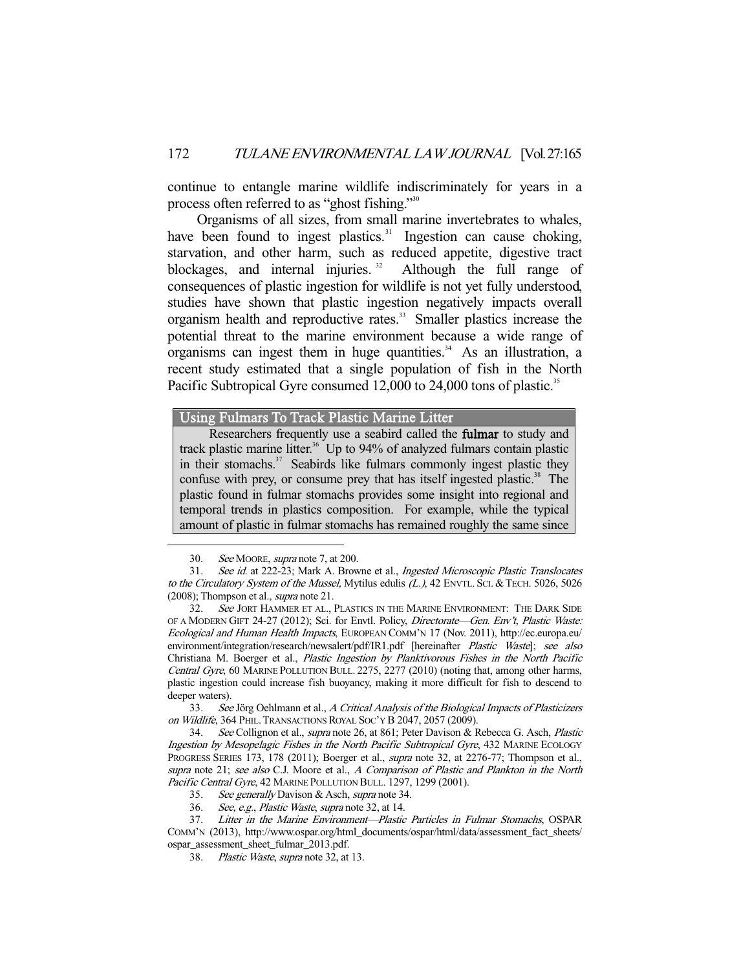continue to entangle marine wildlife indiscriminately for years in a process often referred to as "ghost fishing."30

 Organisms of all sizes, from small marine invertebrates to whales, have been found to ingest plastics. $31$  Ingestion can cause choking, starvation, and other harm, such as reduced appetite, digestive tract blockages, and internal injuries.<sup>32</sup> Although the full range of consequences of plastic ingestion for wildlife is not yet fully understood, studies have shown that plastic ingestion negatively impacts overall organism health and reproductive rates.<sup>33</sup> Smaller plastics increase the potential threat to the marine environment because a wide range of organisms can ingest them in huge quantities.<sup>34</sup> As an illustration, a recent study estimated that a single population of fish in the North Pacific Subtropical Gyre consumed 12,000 to 24,000 tons of plastic.<sup>35</sup>

Using Fulmars To Track Plastic Marine Litter

Researchers frequently use a seabird called the **fulmar** to study and track plastic marine litter.<sup>36</sup> Up to 94% of analyzed fulmars contain plastic in their stomachs. $37$  Seabirds like fulmars commonly ingest plastic they confuse with prey, or consume prey that has itself ingested plastic.<sup>38</sup> The plastic found in fulmar stomachs provides some insight into regional and temporal trends in plastics composition. For example, while the typical amount of plastic in fulmar stomachs has remained roughly the same since

-

 33. See Jörg Oehlmann et al., A Critical Analysis of the Biological Impacts of Plasticizers on Wildlife, 364 PHIL. TRANSACTIONS ROYAL SOC'Y B 2047, 2057 (2009).

 <sup>30.</sup> See MOORE, supra note 7, at 200.

 <sup>31.</sup> See id. at 222-23; Mark A. Browne et al., Ingested Microscopic Plastic Translocates to the Circulatory System of the Mussel, Mytilus edulis (L.), 42 ENVTL. SCI. & TECH. 5026, 5026 (2008); Thompson et al., supra note 21.

<sup>32.</sup> See JORT HAMMER ET AL., PLASTICS IN THE MARINE ENVIRONMENT: THE DARK SIDE OF A MODERN GIFT 24-27 (2012); Sci. for Envtl. Policy, Directorate—Gen. Env't, Plastic Waste: Ecological and Human Health Impacts, EUROPEAN COMM'N 17 (Nov. 2011), http://ec.europa.eu/ environment/integration/research/newsalert/pdf/IR1.pdf [hereinafter *Plastic Waste*]; see also Christiana M. Boerger et al., Plastic Ingestion by Planktivorous Fishes in the North Pacific Central Gyre, 60 MARINE POLLUTION BULL. 2275, 2277 (2010) (noting that, among other harms, plastic ingestion could increase fish buoyancy, making it more difficult for fish to descend to deeper waters).

 <sup>34.</sup> See Collignon et al., supra note 26, at 861; Peter Davison & Rebecca G. Asch, Plastic Ingestion by Mesopelagic Fishes in the North Pacific Subtropical Gyre, 432 MARINE ECOLOGY PROGRESS SERIES 173, 178 (2011); Boerger et al., supra note 32, at 2276-77; Thompson et al., supra note 21; see also C.J. Moore et al., A Comparison of Plastic and Plankton in the North Pacific Central Gyre, 42 MARINE POLLUTION BULL. 1297, 1299 (2001).

 <sup>35.</sup> See generally Davison & Asch, supra note 34.

 <sup>36.</sup> See, e.g., Plastic Waste, supra note 32, at 14.

 <sup>37.</sup> Litter in the Marine Environment—Plastic Particles in Fulmar Stomachs, OSPAR COMM'N (2013), http://www.ospar.org/html\_documents/ospar/html/data/assessment\_fact\_sheets/ ospar\_assessment\_sheet\_fulmar\_2013.pdf.

 <sup>38.</sup> Plastic Waste, supra note 32, at 13.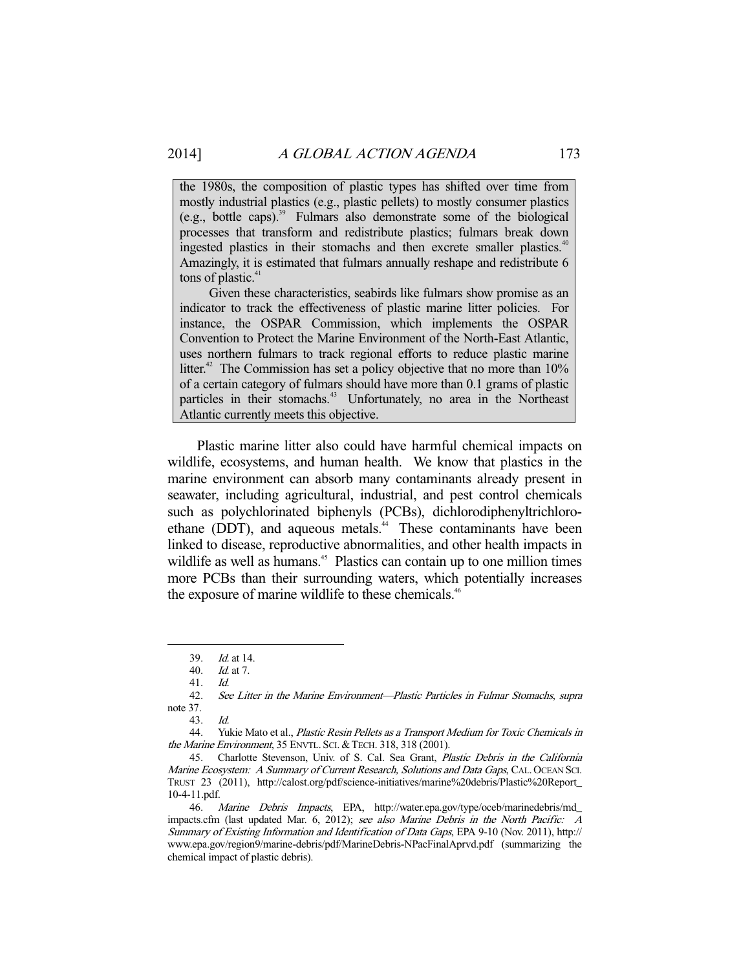the 1980s, the composition of plastic types has shifted over time from mostly industrial plastics (e.g., plastic pellets) to mostly consumer plastics  $(e.g., both)$  bottle caps).<sup>39</sup> Fulmars also demonstrate some of the biological processes that transform and redistribute plastics; fulmars break down ingested plastics in their stomachs and then excrete smaller plastics.<sup>40</sup> Amazingly, it is estimated that fulmars annually reshape and redistribute 6 tons of plastic. $41$ 

 Given these characteristics, seabirds like fulmars show promise as an indicator to track the effectiveness of plastic marine litter policies. For instance, the OSPAR Commission, which implements the OSPAR Convention to Protect the Marine Environment of the North-East Atlantic, uses northern fulmars to track regional efforts to reduce plastic marine litter.<sup>42</sup> The Commission has set a policy objective that no more than  $10\%$ of a certain category of fulmars should have more than 0.1 grams of plastic particles in their stomachs.<sup>43</sup> Unfortunately, no area in the Northeast Atlantic currently meets this objective.

 Plastic marine litter also could have harmful chemical impacts on wildlife, ecosystems, and human health. We know that plastics in the marine environment can absorb many contaminants already present in seawater, including agricultural, industrial, and pest control chemicals such as polychlorinated biphenyls (PCBs), dichlorodiphenyltrichloroethane (DDT), and aqueous metals.<sup>44</sup> These contaminants have been linked to disease, reproductive abnormalities, and other health impacts in wildlife as well as humans.<sup>45</sup> Plastics can contain up to one million times more PCBs than their surrounding waters, which potentially increases the exposure of marine wildlife to these chemicals.<sup>46</sup>

 <sup>39.</sup> Id. at 14.

 <sup>40.</sup> Id. at 7.

<sup>41.</sup> *Id.*<br>42. *See* 

See Litter in the Marine Environment—Plastic Particles in Fulmar Stomachs, supra note 37.

 <sup>43.</sup> Id.

<sup>44.</sup> Yukie Mato et al., Plastic Resin Pellets as a Transport Medium for Toxic Chemicals in the Marine Environment, 35 ENVTL. SCI. & TECH. 318, 318 (2001).

 <sup>45.</sup> Charlotte Stevenson, Univ. of S. Cal. Sea Grant, Plastic Debris in the California Marine Ecosystem: A Summary of Current Research, Solutions and Data Gaps, CAL. OCEAN SCI. TRUST 23 (2011), http://calost.org/pdf/science-initiatives/marine%20debris/Plastic%20Report\_ 10-4-11.pdf.

<sup>46.</sup> Marine Debris Impacts, EPA, http://water.epa.gov/type/oceb/marinedebris/md\_ impacts.cfm (last updated Mar. 6, 2012); see also Marine Debris in the North Pacific: A Summary of Existing Information and Identification of Data Gaps, EPA 9-10 (Nov. 2011), http:// www.epa.gov/region9/marine-debris/pdf/MarineDebris-NPacFinalAprvd.pdf (summarizing the chemical impact of plastic debris).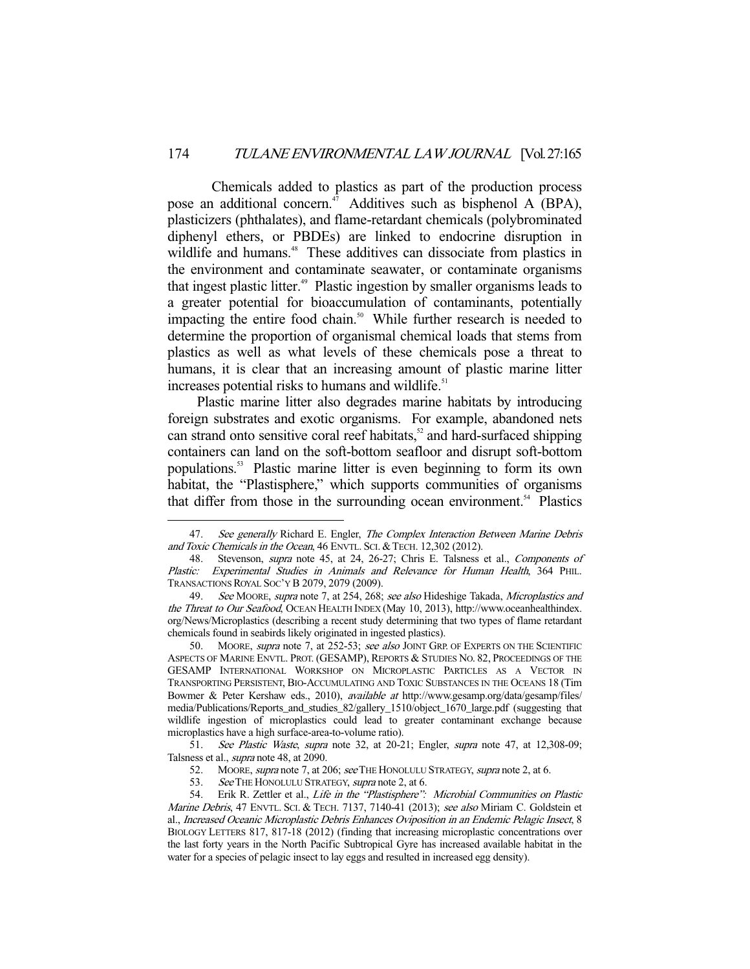Chemicals added to plastics as part of the production process pose an additional concern.<sup>47</sup> Additives such as bisphenol A (BPA), plasticizers (phthalates), and flame-retardant chemicals (polybrominated diphenyl ethers, or PBDEs) are linked to endocrine disruption in wildlife and humans.<sup>48</sup> These additives can dissociate from plastics in the environment and contaminate seawater, or contaminate organisms that ingest plastic litter.<sup>49</sup> Plastic ingestion by smaller organisms leads to a greater potential for bioaccumulation of contaminants, potentially impacting the entire food chain.<sup>50</sup> While further research is needed to determine the proportion of organismal chemical loads that stems from plastics as well as what levels of these chemicals pose a threat to humans, it is clear that an increasing amount of plastic marine litter increases potential risks to humans and wildlife.<sup>51</sup>

 Plastic marine litter also degrades marine habitats by introducing foreign substrates and exotic organisms. For example, abandoned nets can strand onto sensitive coral reef habitats, $52$  and hard-surfaced shipping containers can land on the soft-bottom seafloor and disrupt soft-bottom populations.53 Plastic marine litter is even beginning to form its own habitat, the "Plastisphere," which supports communities of organisms that differ from those in the surrounding ocean environment.<sup>54</sup> Plastics

 51. See Plastic Waste, supra note 32, at 20-21; Engler, supra note 47, at 12,308-09; Talsness et al., supra note 48, at 2090.

53. See THE HONOLULU STRATEGY, supra note 2, at 6.<br>54. Erik R. Zettler et al., Life in the "Plastisphere":

<sup>47.</sup> See generally Richard E. Engler, The Complex Interaction Between Marine Debris and Toxic Chemicals in the Ocean, 46 ENVTL. SCI. & TECH. 12,302 (2012).

<sup>48.</sup> Stevenson, *supra* note 45, at 24, 26-27; Chris E. Talsness et al., *Components of* Plastic: Experimental Studies in Animals and Relevance for Human Health, 364 PHIL. TRANSACTIONS ROYAL SOC'Y B 2079, 2079 (2009).

<sup>49.</sup> See MOORE, supra note 7, at 254, 268; see also Hideshige Takada, Microplastics and the Threat to Our Seafood, OCEAN HEALTH INDEX (May 10, 2013), http://www.oceanhealthindex. org/News/Microplastics (describing a recent study determining that two types of flame retardant chemicals found in seabirds likely originated in ingested plastics).

<sup>50.</sup> MOORE, supra note 7, at 252-53; see also JOINT GRP. OF EXPERTS ON THE SCIENTIFIC ASPECTS OF MARINE ENVTL. PROT. (GESAMP), REPORTS & STUDIES NO. 82, PROCEEDINGS OF THE GESAMP INTERNATIONAL WORKSHOP ON MICROPLASTIC PARTICLES AS A VECTOR IN TRANSPORTING PERSISTENT, BIO-ACCUMULATING AND TOXIC SUBSTANCES IN THE OCEANS 18 (Tim Bowmer & Peter Kershaw eds., 2010), *available at* http://www.gesamp.org/data/gesamp/files/ media/Publications/Reports\_and\_studies\_82/gallery\_1510/object\_1670\_large.pdf (suggesting that wildlife ingestion of microplastics could lead to greater contaminant exchange because microplastics have a high surface-area-to-volume ratio).

<sup>52.</sup> MOORE, *supra* note 7, at 206; see THE HONOLULU STRATEGY, *supra* note 2, at 6.<br>53. See THE HONOLULU STRATEGY, *supra* note 2, at 6.

Erik R. Zettler et al., Life in the "Plastisphere": Microbial Communities on Plastic Marine Debris, 47 ENVTL. SCI. & TECH. 7137, 7140-41 (2013); see also Miriam C. Goldstein et al., Increased Oceanic Microplastic Debris Enhances Oviposition in an Endemic Pelagic Insect, 8 BIOLOGY LETTERS 817, 817-18 (2012) (finding that increasing microplastic concentrations over the last forty years in the North Pacific Subtropical Gyre has increased available habitat in the water for a species of pelagic insect to lay eggs and resulted in increased egg density).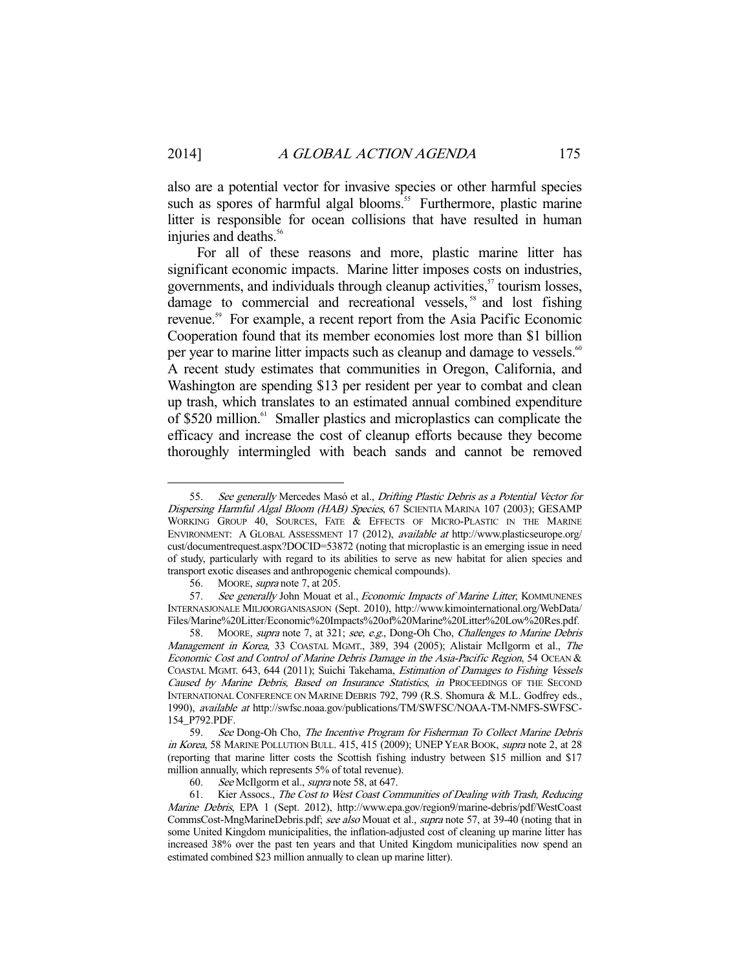also are a potential vector for invasive species or other harmful species such as spores of harmful algal blooms.<sup>55</sup> Furthermore, plastic marine litter is responsible for ocean collisions that have resulted in human injuries and deaths.<sup>56</sup>

 For all of these reasons and more, plastic marine litter has significant economic impacts. Marine litter imposes costs on industries, governments, and individuals through cleanup activities, $\beta$ <sup>t</sup> tourism losses, damage to commercial and recreational vessels,<sup>58</sup> and lost fishing revenue.<sup>59</sup> For example, a recent report from the Asia Pacific Economic Cooperation found that its member economies lost more than \$1 billion per year to marine litter impacts such as cleanup and damage to vessels.<sup>60</sup> A recent study estimates that communities in Oregon, California, and Washington are spending \$13 per resident per year to combat and clean up trash, which translates to an estimated annual combined expenditure of \$520 million.<sup>61</sup> Smaller plastics and microplastics can complicate the efficacy and increase the cost of cleanup efforts because they become thoroughly intermingled with beach sands and cannot be removed

<sup>55.</sup> See generally Mercedes Masó et al., Drifting Plastic Debris as a Potential Vector for Dispersing Harmful Algal Bloom (HAB) Species, 67 SCIENTIA MARINA 107 (2003); GESAMP WORKING GROUP 40, SOURCES, FATE & EFFECTS OF MICRO-PLASTIC IN THE MARINE ENVIRONMENT: A GLOBAL ASSESSMENT 17 (2012), available at http://www.plasticseurope.org/ cust/documentrequest.aspx?DOCID=53872 (noting that microplastic is an emerging issue in need of study, particularly with regard to its abilities to serve as new habitat for alien species and transport exotic diseases and anthropogenic chemical compounds).

 <sup>56.</sup> MOORE, supra note 7, at 205.

<sup>57.</sup> See generally John Mouat et al., Economic Impacts of Marine Litter, KOMMUNENES INTERNASJONALE MILJØORGANISASJON (Sept. 2010), http://www.kimointernational.org/WebData/ Files/Marine%20Litter/Economic%20Impacts%20of%20Marine%20Litter%20Low%20Res.pdf.

 <sup>58.</sup> MOORE, supra note 7, at 321; see, e.g., Dong-Oh Cho, Challenges to Marine Debris Management in Korea, 33 COASTAL MGMT., 389, 394 (2005); Alistair McIlgorm et al., The Economic Cost and Control of Marine Debris Damage in the Asia-Pacific Region, 54 OCEAN & COASTAL MGMT. 643, 644 (2011); Suichi Takehama, Estimation of Damages to Fishing Vessels Caused by Marine Debris, Based on Insurance Statistics, in PROCEEDINGS OF THE SECOND INTERNATIONAL CONFERENCE ON MARINE DEBRIS 792, 799 (R.S. Shomura & M.L. Godfrey eds., 1990), available at http://swfsc.noaa.gov/publications/TM/SWFSC/NOAA-TM-NMFS-SWFSC-154\_P792.PDF.

 <sup>59.</sup> See Dong-Oh Cho, The Incentive Program for Fisherman To Collect Marine Debris in Korea, 58 MARINE POLLUTION BULL. 415, 415 (2009); UNEP YEAR BOOK, supra note 2, at 28 (reporting that marine litter costs the Scottish fishing industry between \$15 million and \$17 million annually, which represents 5% of total revenue).

 <sup>60.</sup> See McIlgorm et al., supra note 58, at 647.

<sup>61.</sup> Kier Assocs., The Cost to West Coast Communities of Dealing with Trash, Reducing Marine Debris, EPA 1 (Sept. 2012), http://www.epa.gov/region9/marine-debris/pdf/WestCoast CommsCost-MngMarineDebris.pdf; see also Mouat et al., supra note 57, at 39-40 (noting that in some United Kingdom municipalities, the inflation-adjusted cost of cleaning up marine litter has increased 38% over the past ten years and that United Kingdom municipalities now spend an estimated combined \$23 million annually to clean up marine litter).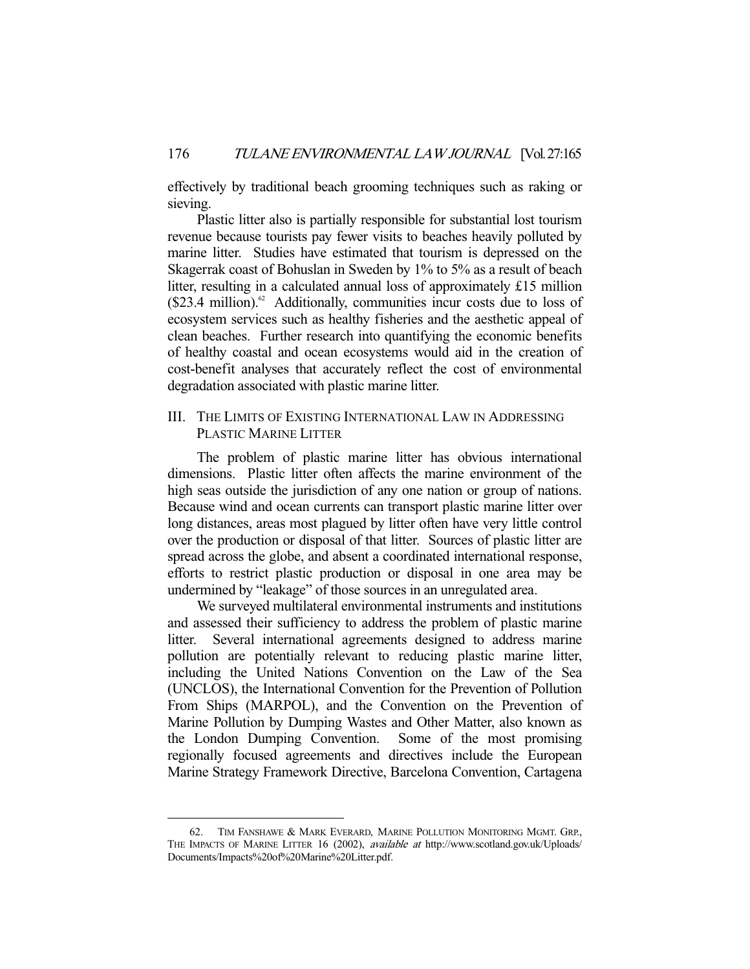effectively by traditional beach grooming techniques such as raking or sieving.

 Plastic litter also is partially responsible for substantial lost tourism revenue because tourists pay fewer visits to beaches heavily polluted by marine litter. Studies have estimated that tourism is depressed on the Skagerrak coast of Bohuslan in Sweden by 1% to 5% as a result of beach litter, resulting in a calculated annual loss of approximately £15 million  $($23.4$ million).$ <sup>2</sup> Additionally, communities incur costs due to loss of ecosystem services such as healthy fisheries and the aesthetic appeal of clean beaches. Further research into quantifying the economic benefits of healthy coastal and ocean ecosystems would aid in the creation of cost-benefit analyses that accurately reflect the cost of environmental degradation associated with plastic marine litter.

### III. THE LIMITS OF EXISTING INTERNATIONAL LAW IN ADDRESSING PLASTIC MARINE LITTER

 The problem of plastic marine litter has obvious international dimensions. Plastic litter often affects the marine environment of the high seas outside the jurisdiction of any one nation or group of nations. Because wind and ocean currents can transport plastic marine litter over long distances, areas most plagued by litter often have very little control over the production or disposal of that litter. Sources of plastic litter are spread across the globe, and absent a coordinated international response, efforts to restrict plastic production or disposal in one area may be undermined by "leakage" of those sources in an unregulated area.

 We surveyed multilateral environmental instruments and institutions and assessed their sufficiency to address the problem of plastic marine litter. Several international agreements designed to address marine pollution are potentially relevant to reducing plastic marine litter, including the United Nations Convention on the Law of the Sea (UNCLOS), the International Convention for the Prevention of Pollution From Ships (MARPOL), and the Convention on the Prevention of Marine Pollution by Dumping Wastes and Other Matter, also known as the London Dumping Convention. Some of the most promising regionally focused agreements and directives include the European Marine Strategy Framework Directive, Barcelona Convention, Cartagena

 <sup>62.</sup> TIM FANSHAWE & MARK EVERARD, MARINE POLLUTION MONITORING MGMT. GRP., THE IMPACTS OF MARINE LITTER 16 (2002), *available at* http://www.scotland.gov.uk/Uploads/ Documents/Impacts%20of%20Marine%20Litter.pdf.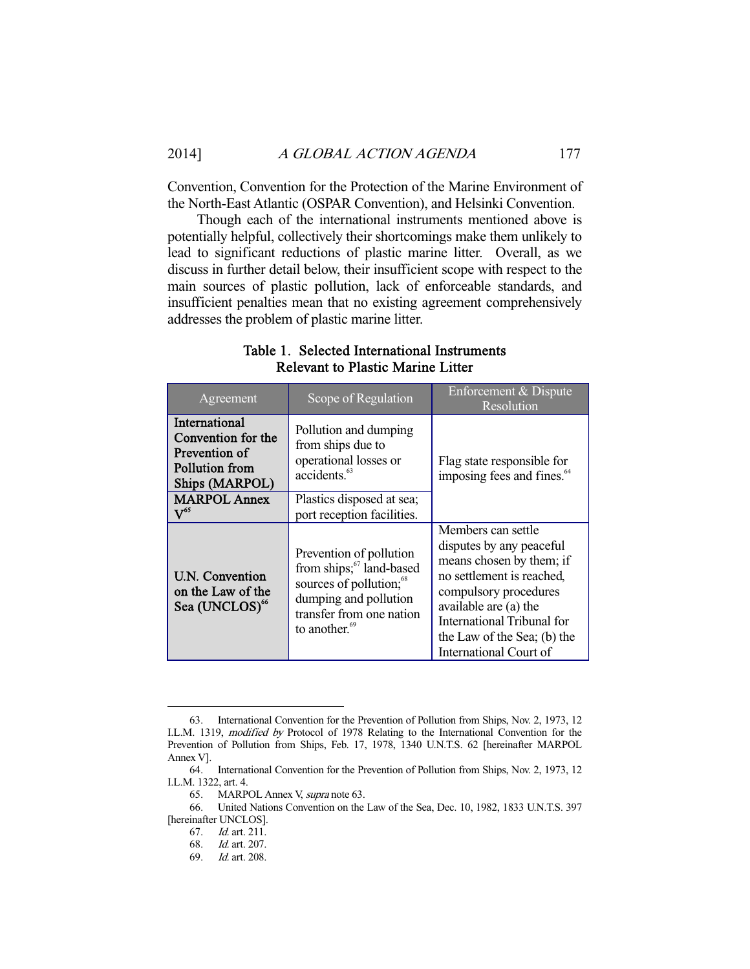Convention, Convention for the Protection of the Marine Environment of the North-East Atlantic (OSPAR Convention), and Helsinki Convention.

 Though each of the international instruments mentioned above is potentially helpful, collectively their shortcomings make them unlikely to lead to significant reductions of plastic marine litter. Overall, as we discuss in further detail below, their insufficient scope with respect to the main sources of plastic pollution, lack of enforceable standards, and insufficient penalties mean that no existing agreement comprehensively addresses the problem of plastic marine litter.

| Agreement                                                                                       | Scope of Regulation                                                                                                                                                                      | Enforcement & Dispute<br>Resolution                                                                                                                                                                                                                     |  |  |
|-------------------------------------------------------------------------------------------------|------------------------------------------------------------------------------------------------------------------------------------------------------------------------------------------|---------------------------------------------------------------------------------------------------------------------------------------------------------------------------------------------------------------------------------------------------------|--|--|
| International<br>Convention for the<br>Prevention of<br>Pollution from<br><b>Ships (MARPOL)</b> | Pollution and dumping<br>from ships due to<br>operational losses or<br>accidents. <sup>63</sup>                                                                                          | Flag state responsible for<br>imposing fees and fines. <sup>64</sup>                                                                                                                                                                                    |  |  |
| <b>MARPOL Annex</b><br>$\mathrm{V}^{65}$                                                        | Plastics disposed at sea;<br>port reception facilities.                                                                                                                                  |                                                                                                                                                                                                                                                         |  |  |
| <b>U.N. Convention</b><br>on the Law of the<br>Sea (UNCLOS) <sup>66</sup>                       | Prevention of pollution<br>from ships; <sup>67</sup> land-based<br>sources of pollution; <sup>68</sup><br>dumping and pollution<br>transfer from one nation<br>to another. <sup>69</sup> | Members can settle<br>disputes by any peaceful<br>means chosen by them; if<br>no settlement is reached,<br>compulsory procedures<br>available are (a) the<br><b>International Tribunal for</b><br>the Law of the Sea; (b) the<br>International Court of |  |  |

### Table 1. Selected International Instruments Relevant to Plastic Marine Litter

 <sup>63.</sup> International Convention for the Prevention of Pollution from Ships, Nov. 2, 1973, 12 I.L.M. 1319, modified by Protocol of 1978 Relating to the International Convention for the Prevention of Pollution from Ships, Feb. 17, 1978, 1340 U.N.T.S. 62 [hereinafter MARPOL Annex V].<br>64.

International Convention for the Prevention of Pollution from Ships, Nov. 2, 1973, 12 I.L.M. 1322, art. 4.

 <sup>65.</sup> MARPOL Annex V, supra note 63.

 <sup>66.</sup> United Nations Convention on the Law of the Sea, Dec. 10, 1982, 1833 U.N.T.S. 397 [hereinafter UNCLOS].

 <sup>67.</sup> Id. art. 211.

 <sup>68.</sup> Id. art. 207.

 <sup>69.</sup> Id. art. 208.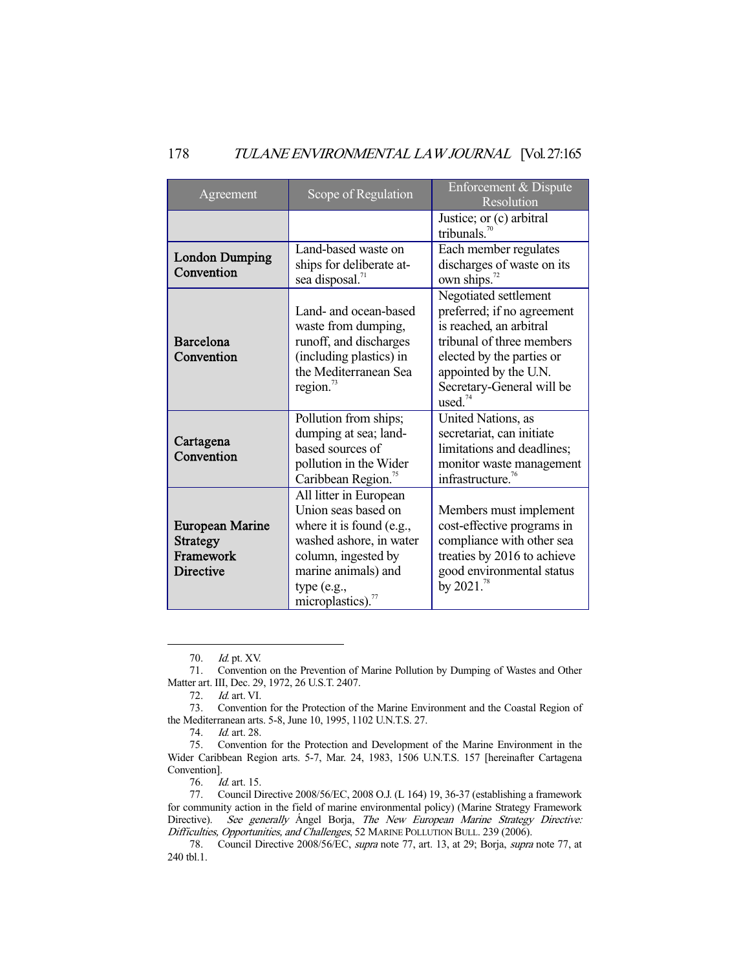### 178 TULANE ENVIRONMENTAL LAW JOURNAL [Vol. 27:165

| Agreement                                                           | Scope of Regulation                                                                                                                                                                       | Enforcement & Dispute<br>Resolution                                                                                                                                                                                   |  |  |
|---------------------------------------------------------------------|-------------------------------------------------------------------------------------------------------------------------------------------------------------------------------------------|-----------------------------------------------------------------------------------------------------------------------------------------------------------------------------------------------------------------------|--|--|
|                                                                     |                                                                                                                                                                                           | Justice; or (c) arbitral<br>tribunals. $70$                                                                                                                                                                           |  |  |
| <b>London Dumping</b><br>Convention                                 | Land-based waste on<br>ships for deliberate at-<br>sea disposal. <sup>71</sup>                                                                                                            | Each member regulates<br>discharges of waste on its<br>own ships. <sup>72</sup>                                                                                                                                       |  |  |
| Barcelona<br>Convention                                             | Land- and ocean-based<br>waste from dumping,<br>runoff, and discharges<br>(including plastics) in<br>the Mediterranean Sea<br>region. $^{73}$                                             | Negotiated settlement<br>preferred; if no agreement<br>is reached, an arbitral<br>tribunal of three members<br>elected by the parties or<br>appointed by the U.N.<br>Secretary-General will be<br>used. <sup>74</sup> |  |  |
| Cartagena<br>Convention                                             | Pollution from ships;<br>dumping at sea; land-<br>based sources of<br>pollution in the Wider<br>Caribbean Region. <sup>75</sup>                                                           | United Nations, as<br>secretariat, can initiate<br>limitations and deadlines;<br>monitor waste management<br>infrastructure. <sup>76</sup>                                                                            |  |  |
| European Marine<br><b>Strategy</b><br>Framework<br><b>Directive</b> | All litter in European<br>Union seas based on<br>where it is found (e.g.,<br>washed ashore, in water<br>column, ingested by<br>marine animals) and<br>type (e.g.,<br>microplastics). $77$ | Members must implement<br>cost-effective programs in<br>compliance with other sea<br>treaties by 2016 to achieve<br>good environmental status<br>by $2021.^{78}$                                                      |  |  |

 <sup>70.</sup> Id. pt. XV.

 <sup>71.</sup> Convention on the Prevention of Marine Pollution by Dumping of Wastes and Other Matter art. III, Dec. 29, 1972, 26 U.S.T. 2407.

 <sup>72.</sup> Id. art. VI.

 <sup>73.</sup> Convention for the Protection of the Marine Environment and the Coastal Region of the Mediterranean arts. 5-8, June 10, 1995, 1102 U.N.T.S. 27.

 <sup>74.</sup> Id. art. 28.

 <sup>75.</sup> Convention for the Protection and Development of the Marine Environment in the Wider Caribbean Region arts. 5-7, Mar. 24, 1983, 1506 U.N.T.S. 157 [hereinafter Cartagena Convention].

 <sup>76.</sup> Id. art. 15.

 <sup>77.</sup> Council Directive 2008/56/EC, 2008 O.J. (L 164) 19, 36-37 (establishing a framework for community action in the field of marine environmental policy) (Marine Strategy Framework Directive). See generally Ángel Borja, The New European Marine Strategy Directive: Difficulties, Opportunities, and Challenges, 52 MARINE POLLUTION BULL. 239 (2006).

 <sup>78.</sup> Council Directive 2008/56/EC, supra note 77, art. 13, at 29; Borja, supra note 77, at 240 tbl.1.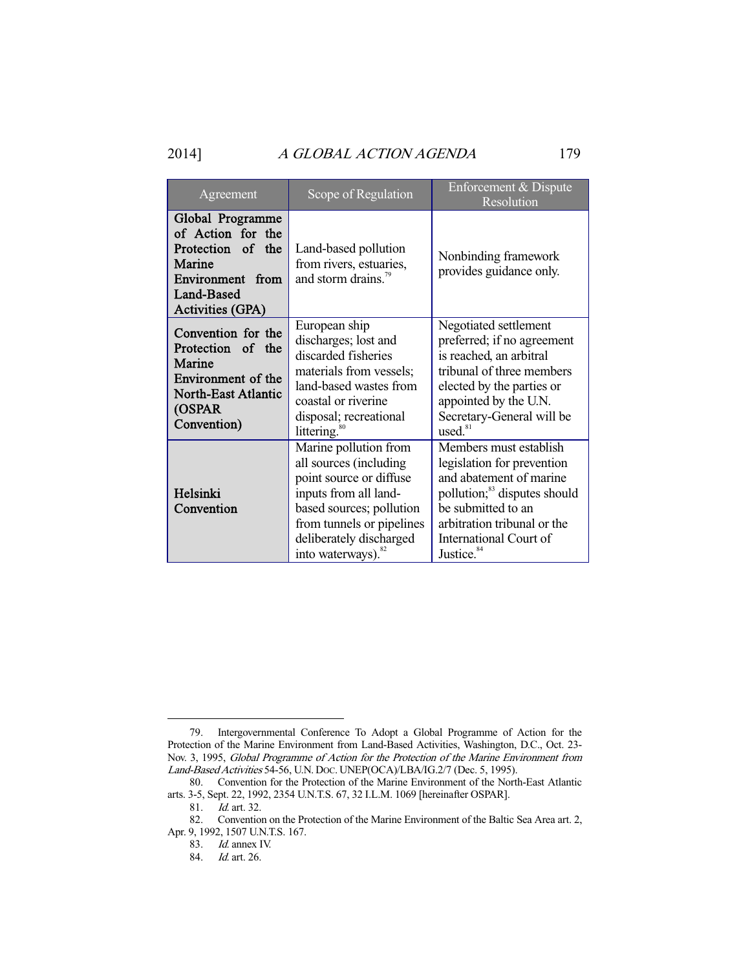### 2014] A GLOBAL ACTION AGENDA 179

| Agreement                                                                                                                         | Scope of Regulation                                                                                                                                                                                                       | Enforcement & Dispute<br>Resolution                                                                                                                                                                                                  |  |  |
|-----------------------------------------------------------------------------------------------------------------------------------|---------------------------------------------------------------------------------------------------------------------------------------------------------------------------------------------------------------------------|--------------------------------------------------------------------------------------------------------------------------------------------------------------------------------------------------------------------------------------|--|--|
| Global Programme<br>of Action for the<br>Protection of the<br>Marine<br>Environment from<br>Land-Based<br><b>Activities (GPA)</b> | Land-based pollution<br>from rivers, estuaries,<br>and storm drains. <sup>79</sup>                                                                                                                                        | Nonbinding framework<br>provides guidance only.                                                                                                                                                                                      |  |  |
| Convention for the<br>Protection of the<br>Marine<br>Environment of the<br><b>North-East Atlantic</b><br>(OSPAR<br>Convention)    | European ship<br>discharges; lost and<br>discarded fisheries<br>materials from vessels;<br>land-based wastes from<br>coastal or riverine<br>disposal; recreational<br>littering. <sup>80</sup>                            | Negotiated settlement<br>preferred; if no agreement<br>is reached, an arbitral<br>tribunal of three members<br>elected by the parties or<br>appointed by the U.N.<br>Secretary-General will be<br>used. <sup>81</sup>                |  |  |
| Helsinki<br>Convention                                                                                                            | Marine pollution from<br>all sources (including<br>point source or diffuse<br>inputs from all land-<br>based sources; pollution<br>from tunnels or pipelines<br>deliberately discharged<br>into waterways). <sup>82</sup> | Members must establish<br>legislation for prevention<br>and abatement of marine<br>pollution; <sup>83</sup> disputes should<br>be submitted to an<br>arbitration tribunal or the<br>International Court of<br>Justice. <sup>84</sup> |  |  |

 <sup>79.</sup> Intergovernmental Conference To Adopt a Global Programme of Action for the Protection of the Marine Environment from Land-Based Activities, Washington, D.C., Oct. 23- Nov. 3, 1995, Global Programme of Action for the Protection of the Marine Environment from Land-Based Activities 54-56, U.N. DOC. UNEP(OCA)/LBA/IG.2/7 (Dec. 5, 1995).

 <sup>80.</sup> Convention for the Protection of the Marine Environment of the North-East Atlantic arts. 3-5, Sept. 22, 1992, 2354 U.N.T.S. 67, 32 I.L.M. 1069 [hereinafter OSPAR].

<sup>81.</sup> *Id.* art. 32.

 <sup>82.</sup> Convention on the Protection of the Marine Environment of the Baltic Sea Area art. 2, Apr. 9, 1992, 1507 U.N.T.S. 167.

 <sup>83.</sup> Id. annex IV.

 <sup>84.</sup> Id. art. 26.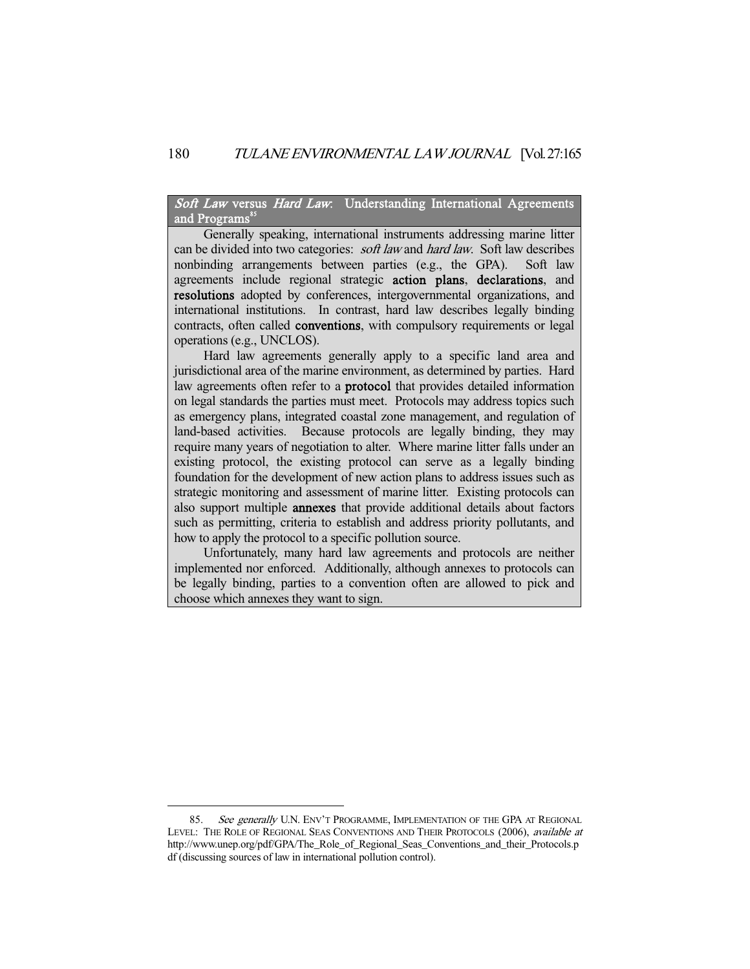Soft Law versus Hard Law: Understanding International Agreements and Programs<sup>85</sup>

 Generally speaking, international instruments addressing marine litter can be divided into two categories: *soft law* and *hard law*. Soft law describes nonbinding arrangements between parties (e.g., the GPA). Soft law agreements include regional strategic action plans, declarations, and resolutions adopted by conferences, intergovernmental organizations, and international institutions. In contrast, hard law describes legally binding contracts, often called **conventions**, with compulsory requirements or legal operations (e.g., UNCLOS).

 Hard law agreements generally apply to a specific land area and jurisdictional area of the marine environment, as determined by parties. Hard law agreements often refer to a protocol that provides detailed information on legal standards the parties must meet. Protocols may address topics such as emergency plans, integrated coastal zone management, and regulation of land-based activities. Because protocols are legally binding, they may require many years of negotiation to alter. Where marine litter falls under an existing protocol, the existing protocol can serve as a legally binding foundation for the development of new action plans to address issues such as strategic monitoring and assessment of marine litter. Existing protocols can also support multiple **annexes** that provide additional details about factors such as permitting, criteria to establish and address priority pollutants, and how to apply the protocol to a specific pollution source.

 Unfortunately, many hard law agreements and protocols are neither implemented nor enforced. Additionally, although annexes to protocols can be legally binding, parties to a convention often are allowed to pick and choose which annexes they want to sign.

<sup>85.</sup> See generally U.N. ENV'T PROGRAMME, IMPLEMENTATION OF THE GPA AT REGIONAL LEVEL: THE ROLE OF REGIONAL SEAS CONVENTIONS AND THEIR PROTOCOLS (2006), available at http://www.unep.org/pdf/GPA/The\_Role\_of\_Regional\_Seas\_Conventions\_and\_their\_Protocols.p df (discussing sources of law in international pollution control).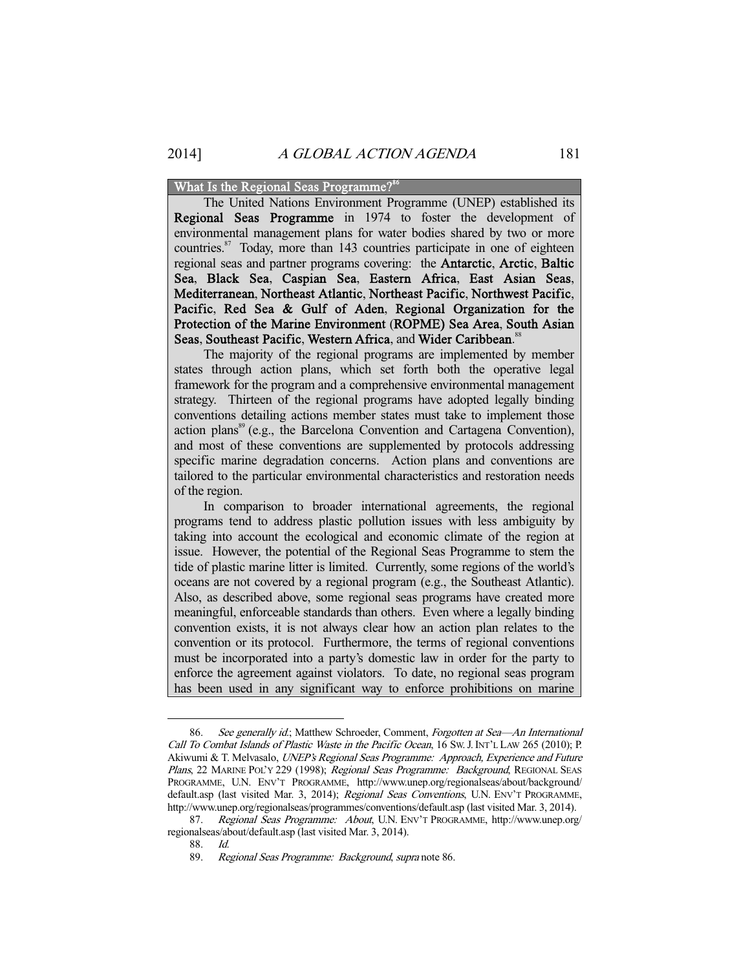#### What Is the Regional Seas Programme?<sup>8</sup>

 The United Nations Environment Programme (UNEP) established its Regional Seas Programme in 1974 to foster the development of environmental management plans for water bodies shared by two or more countries.<sup>87</sup> Today, more than 143 countries participate in one of eighteen regional seas and partner programs covering: the Antarctic, Arctic, Baltic Sea, Black Sea, Caspian Sea, Eastern Africa, East Asian Seas, Mediterranean, Northeast Atlantic, Northeast Pacific, Northwest Pacific, Pacific, Red Sea & Gulf of Aden, Regional Organization for the Protection of the Marine Environment (ROPME) Sea Area, South Asian Seas, Southeast Pacific, Western Africa, and Wider Caribbean.<sup>88</sup>

 The majority of the regional programs are implemented by member states through action plans, which set forth both the operative legal framework for the program and a comprehensive environmental management strategy. Thirteen of the regional programs have adopted legally binding conventions detailing actions member states must take to implement those action plans<sup>89</sup> (e.g., the Barcelona Convention and Cartagena Convention), and most of these conventions are supplemented by protocols addressing specific marine degradation concerns. Action plans and conventions are tailored to the particular environmental characteristics and restoration needs of the region.

 In comparison to broader international agreements, the regional programs tend to address plastic pollution issues with less ambiguity by taking into account the ecological and economic climate of the region at issue. However, the potential of the Regional Seas Programme to stem the tide of plastic marine litter is limited. Currently, some regions of the world's oceans are not covered by a regional program (e.g., the Southeast Atlantic). Also, as described above, some regional seas programs have created more meaningful, enforceable standards than others. Even where a legally binding convention exists, it is not always clear how an action plan relates to the convention or its protocol. Furthermore, the terms of regional conventions must be incorporated into a party's domestic law in order for the party to enforce the agreement against violators. To date, no regional seas program has been used in any significant way to enforce prohibitions on marine

<sup>86.</sup> See generally id.; Matthew Schroeder, Comment, Forgotten at Sea-An International Call To Combat Islands of Plastic Waste in the Pacific Ocean, 16 Sw. J. INT'L LAW 265 (2010); P. Akiwumi & T. Melvasalo, UNEP's Regional Seas Programme: Approach, Experience and Future Plans, 22 MARINE POL'Y 229 (1998); Regional Seas Programme: Background, REGIONAL SEAS PROGRAMME, U.N. ENV'T PROGRAMME, http://www.unep.org/regionalseas/about/background/ default.asp (last visited Mar. 3, 2014); Regional Seas Conventions, U.N. ENV'T PROGRAMME, http://www.unep.org/regionalseas/programmes/conventions/default.asp (last visited Mar. 3, 2014).

<sup>87.</sup> Regional Seas Programme: About, U.N. ENV'T PROGRAMME, http://www.unep.org/ regionalseas/about/default.asp (last visited Mar. 3, 2014).

 <sup>88.</sup> Id.

 <sup>89.</sup> Regional Seas Programme: Background, supra note 86.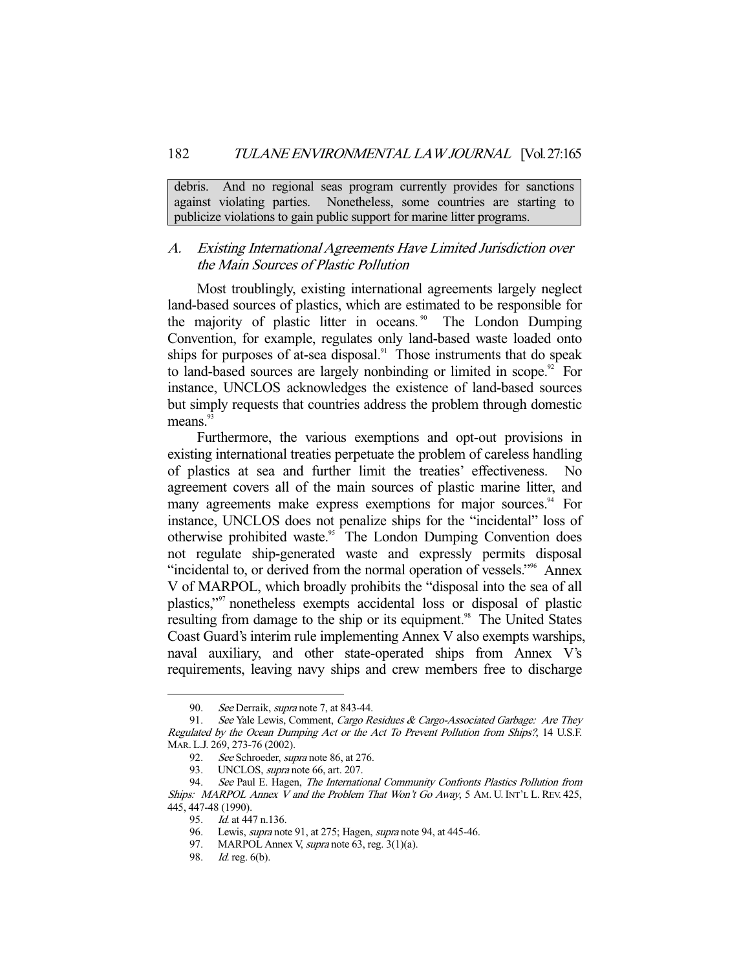debris. And no regional seas program currently provides for sanctions against violating parties. Nonetheless, some countries are starting to publicize violations to gain public support for marine litter programs.

### A. Existing International Agreements Have Limited Jurisdiction over the Main Sources of Plastic Pollution

 Most troublingly, existing international agreements largely neglect land-based sources of plastics, which are estimated to be responsible for the majority of plastic litter in oceans.<sup>90</sup> The London Dumping Convention, for example, regulates only land-based waste loaded onto ships for purposes of at-sea disposal. $91$  Those instruments that do speak to land-based sources are largely nonbinding or limited in scope. $92$  For instance, UNCLOS acknowledges the existence of land-based sources but simply requests that countries address the problem through domestic means.<sup>93</sup>

 Furthermore, the various exemptions and opt-out provisions in existing international treaties perpetuate the problem of careless handling of plastics at sea and further limit the treaties' effectiveness. No agreement covers all of the main sources of plastic marine litter, and many agreements make express exemptions for major sources.<sup>94</sup> For instance, UNCLOS does not penalize ships for the "incidental" loss of otherwise prohibited waste.<sup>95</sup> The London Dumping Convention does not regulate ship-generated waste and expressly permits disposal "incidental to, or derived from the normal operation of vessels."<sup>96</sup> Annex V of MARPOL, which broadly prohibits the "disposal into the sea of all plastics,"97 nonetheless exempts accidental loss or disposal of plastic resulting from damage to the ship or its equipment.<sup>98</sup> The United States Coast Guard's interim rule implementing Annex V also exempts warships, naval auxiliary, and other state-operated ships from Annex V's requirements, leaving navy ships and crew members free to discharge

<sup>90.</sup> See Derraik, *supra* note 7, at 843-44.

<sup>91.</sup> See Yale Lewis, Comment, Cargo Residues & Cargo-Associated Garbage: Are They Regulated by the Ocean Dumping Act or the Act To Prevent Pollution from Ships?, 14 U.S.F. MAR. L.J. 269, 273-76 (2002).

 <sup>92.</sup> See Schroeder, supra note 86, at 276.

<sup>93.</sup> UNCLOS, *supra* note 66, art. 207.

 <sup>94.</sup> See Paul E. Hagen, The International Community Confronts Plastics Pollution from Ships: MARPOL Annex  $\bar{V}$  and the Problem That Won't Go Away, 5 AM. U. INT'L L. REV. 425, 445, 447-48 (1990).

 <sup>95.</sup> Id. at 447 n.136.

 <sup>96.</sup> Lewis, supra note 91, at 275; Hagen, supra note 94, at 445-46.

<sup>97.</sup> MARPOL Annex V, supra note 63, reg.  $3(1)(a)$ .

 <sup>98.</sup> Id. reg. 6(b).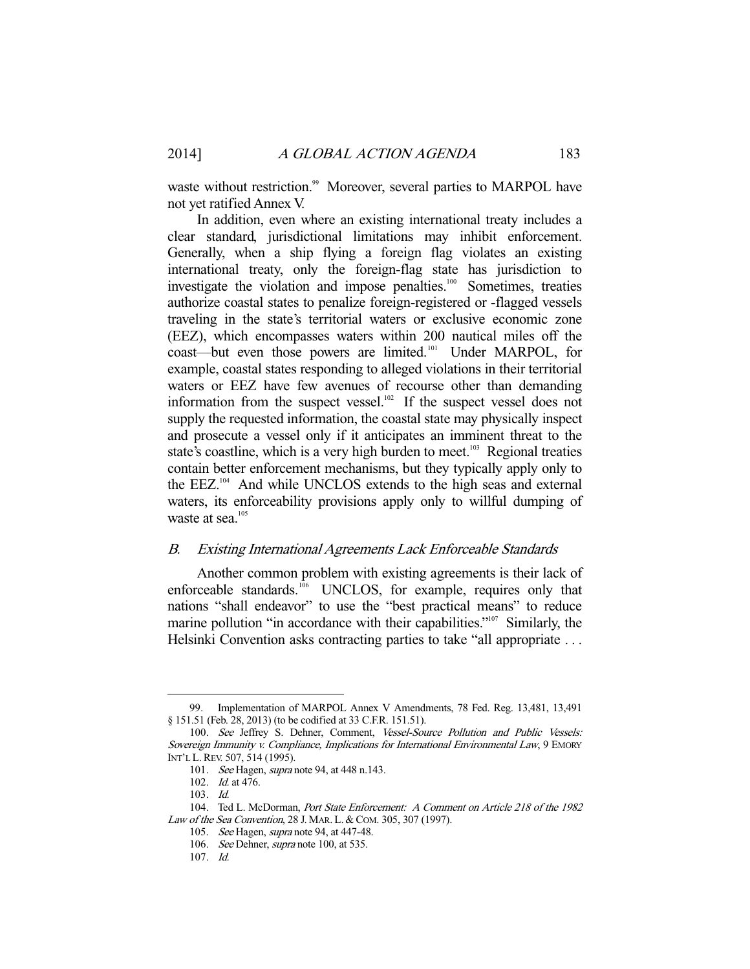waste without restriction.<sup>99</sup> Moreover, several parties to MARPOL have not yet ratified Annex V.

 In addition, even where an existing international treaty includes a clear standard, jurisdictional limitations may inhibit enforcement. Generally, when a ship flying a foreign flag violates an existing international treaty, only the foreign-flag state has jurisdiction to investigate the violation and impose penalties.<sup>100</sup> Sometimes, treaties authorize coastal states to penalize foreign-registered or -flagged vessels traveling in the state's territorial waters or exclusive economic zone (EEZ), which encompasses waters within 200 nautical miles off the coast—but even those powers are limited.<sup>101</sup> Under MARPOL, for example, coastal states responding to alleged violations in their territorial waters or EEZ have few avenues of recourse other than demanding information from the suspect vessel.<sup>102</sup> If the suspect vessel does not supply the requested information, the coastal state may physically inspect and prosecute a vessel only if it anticipates an imminent threat to the state's coastline, which is a very high burden to meet.<sup>103</sup> Regional treaties contain better enforcement mechanisms, but they typically apply only to the EEZ.<sup>104</sup> And while UNCLOS extends to the high seas and external waters, its enforceability provisions apply only to willful dumping of waste at sea.<sup>105</sup>

#### B. Existing International Agreements Lack Enforceable Standards

 Another common problem with existing agreements is their lack of enforceable standards.<sup>106</sup> UNCLOS, for example, requires only that nations "shall endeavor" to use the "best practical means" to reduce marine pollution "in accordance with their capabilities."<sup>107</sup> Similarly, the Helsinki Convention asks contracting parties to take "all appropriate ...

 <sup>99.</sup> Implementation of MARPOL Annex V Amendments, 78 Fed. Reg. 13,481, 13,491 § 151.51 (Feb. 28, 2013) (to be codified at 33 C.F.R. 151.51).

 <sup>100.</sup> See Jeffrey S. Dehner, Comment, Vessel-Source Pollution and Public Vessels: Sovereign Immunity v. Compliance, Implications for International Environmental Law, 9 EMORY INT'L L.REV. 507, 514 (1995).

<sup>101.</sup> See Hagen, *supra* note 94, at 448 n.143.

 <sup>102.</sup> Id. at 476.

 <sup>103.</sup> Id.

 <sup>104.</sup> Ted L. McDorman, Port State Enforcement: A Comment on Article 218 of the 1982 Law of the Sea Convention, 28 J. MAR. L. & COM. 305, 307 (1997).

<sup>105.</sup> See Hagen, *supra* note 94, at 447-48.

<sup>106.</sup> See Dehner, supra note 100, at 535.

 <sup>107.</sup> Id.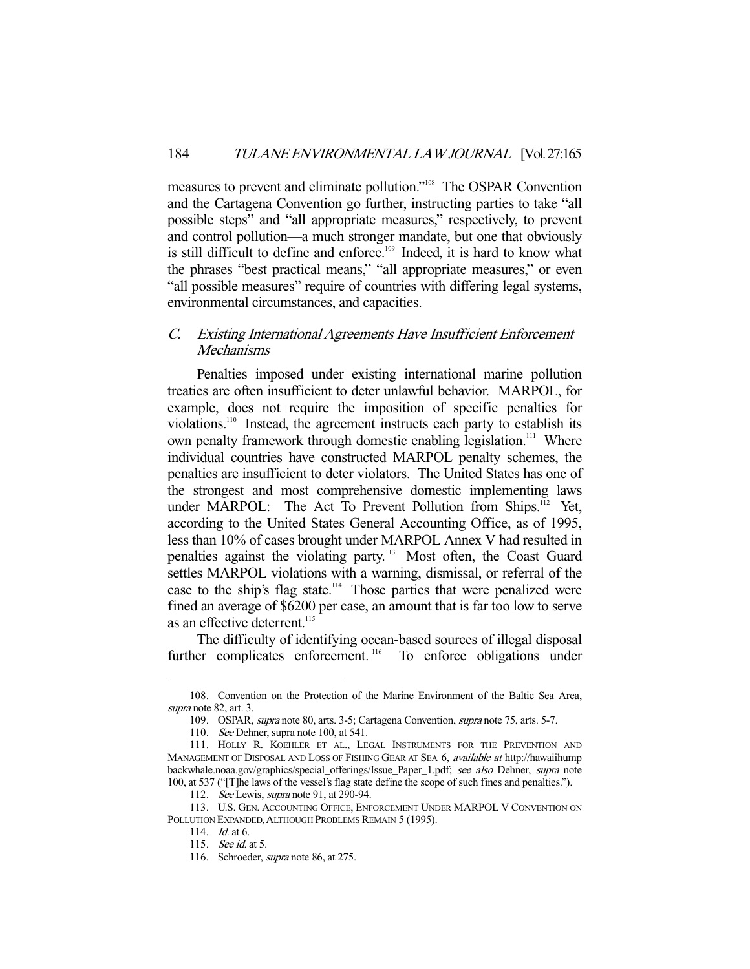measures to prevent and eliminate pollution."108 The OSPAR Convention and the Cartagena Convention go further, instructing parties to take "all possible steps" and "all appropriate measures," respectively, to prevent and control pollution—a much stronger mandate, but one that obviously is still difficult to define and enforce.<sup>109</sup> Indeed, it is hard to know what the phrases "best practical means," "all appropriate measures," or even "all possible measures" require of countries with differing legal systems, environmental circumstances, and capacities.

### C. Existing International Agreements Have Insufficient Enforcement Mechanisms

 Penalties imposed under existing international marine pollution treaties are often insufficient to deter unlawful behavior. MARPOL, for example, does not require the imposition of specific penalties for violations.110 Instead, the agreement instructs each party to establish its own penalty framework through domestic enabling legislation.<sup>111</sup> Where individual countries have constructed MARPOL penalty schemes, the penalties are insufficient to deter violators. The United States has one of the strongest and most comprehensive domestic implementing laws under MARPOL: The Act To Prevent Pollution from Ships.<sup>112</sup> Yet, according to the United States General Accounting Office, as of 1995, less than 10% of cases brought under MARPOL Annex V had resulted in penalties against the violating party.<sup>113</sup> Most often, the Coast Guard settles MARPOL violations with a warning, dismissal, or referral of the case to the ship's flag state.<sup>114</sup> Those parties that were penalized were fined an average of \$6200 per case, an amount that is far too low to serve as an effective deterrent.<sup>115</sup>

 The difficulty of identifying ocean-based sources of illegal disposal further complicates enforcement.<sup>116</sup> To enforce obligations under

 <sup>108.</sup> Convention on the Protection of the Marine Environment of the Baltic Sea Area, supra note 82, art. 3.

 <sup>109.</sup> OSPAR, supra note 80, arts. 3-5; Cartagena Convention, supra note 75, arts. 5-7.

<sup>110.</sup> See Dehner, supra note 100, at 541.

 <sup>111.</sup> HOLLY R. KOEHLER ET AL., LEGAL INSTRUMENTS FOR THE PREVENTION AND MANAGEMENT OF DISPOSAL AND LOSS OF FISHING GEAR AT SEA 6, *available at* http://hawaiihump backwhale.noaa.gov/graphics/special\_offerings/Issue\_Paper\_1.pdf; see also Dehner, supra note 100, at 537 ("[T]he laws of the vessel's flag state define the scope of such fines and penalties.").

<sup>112.</sup> See Lewis, *supra* note 91, at 290-94.

 <sup>113.</sup> U.S. GEN. ACCOUNTING OFFICE, ENFORCEMENT UNDER MARPOL V CONVENTION ON POLLUTION EXPANDED, ALTHOUGH PROBLEMS REMAIN 5 (1995).

 <sup>114.</sup> Id. at 6.

 <sup>115.</sup> See id. at 5.

<sup>116.</sup> Schroeder, *supra* note 86, at 275.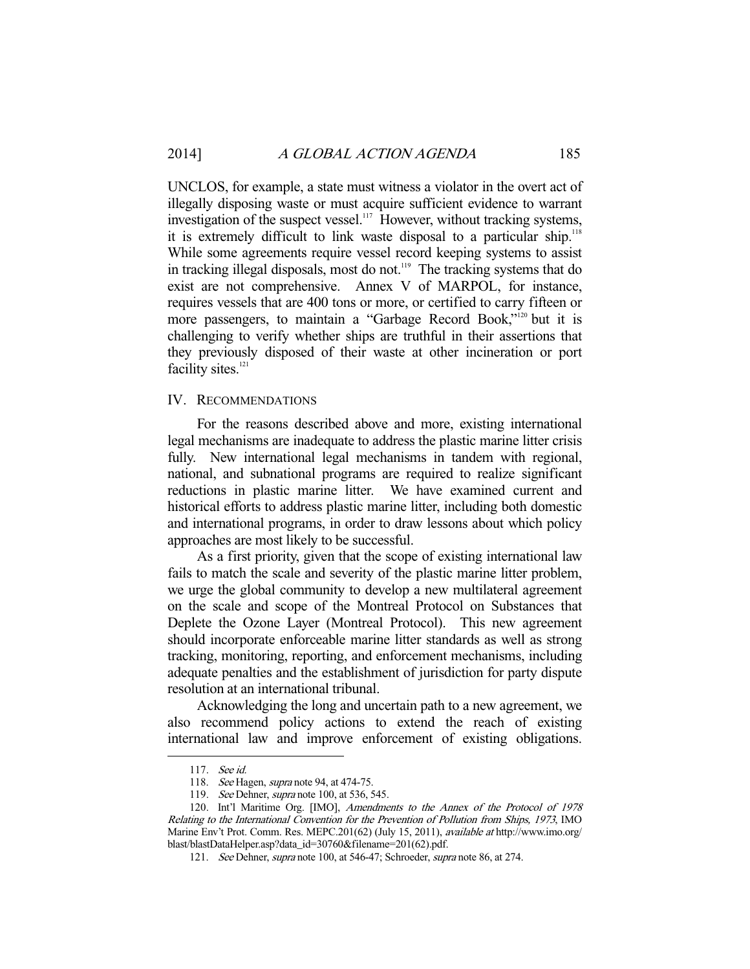UNCLOS, for example, a state must witness a violator in the overt act of illegally disposing waste or must acquire sufficient evidence to warrant investigation of the suspect vessel.<sup>117</sup> However, without tracking systems, it is extremely difficult to link waste disposal to a particular ship.<sup>118</sup> While some agreements require vessel record keeping systems to assist in tracking illegal disposals, most do not.<sup>119</sup> The tracking systems that do exist are not comprehensive. Annex V of MARPOL, for instance, requires vessels that are 400 tons or more, or certified to carry fifteen or more passengers, to maintain a "Garbage Record Book,"<sup>120</sup> but it is challenging to verify whether ships are truthful in their assertions that they previously disposed of their waste at other incineration or port facility sites.<sup>121</sup>

#### IV. RECOMMENDATIONS

 For the reasons described above and more, existing international legal mechanisms are inadequate to address the plastic marine litter crisis fully. New international legal mechanisms in tandem with regional, national, and subnational programs are required to realize significant reductions in plastic marine litter. We have examined current and historical efforts to address plastic marine litter, including both domestic and international programs, in order to draw lessons about which policy approaches are most likely to be successful.

 As a first priority, given that the scope of existing international law fails to match the scale and severity of the plastic marine litter problem, we urge the global community to develop a new multilateral agreement on the scale and scope of the Montreal Protocol on Substances that Deplete the Ozone Layer (Montreal Protocol). This new agreement should incorporate enforceable marine litter standards as well as strong tracking, monitoring, reporting, and enforcement mechanisms, including adequate penalties and the establishment of jurisdiction for party dispute resolution at an international tribunal.

 Acknowledging the long and uncertain path to a new agreement, we also recommend policy actions to extend the reach of existing international law and improve enforcement of existing obligations.

 <sup>117.</sup> See id.

<sup>118.</sup> See Hagen, supra note 94, at 474-75.

<sup>119.</sup> See Dehner, *supra* note 100, at 536, 545.

 <sup>120.</sup> Int'l Maritime Org. [IMO], Amendments to the Annex of the Protocol of 1978 Relating to the International Convention for the Prevention of Pollution from Ships, 1973, IMO Marine Env't Prot. Comm. Res. MEPC.201(62) (July 15, 2011), *available at* http://www.imo.org/ blast/blastDataHelper.asp?data\_id=30760&filename=201(62).pdf.

<sup>121.</sup> See Dehner, *supra* note 100, at 546-47; Schroeder, *supra* note 86, at 274.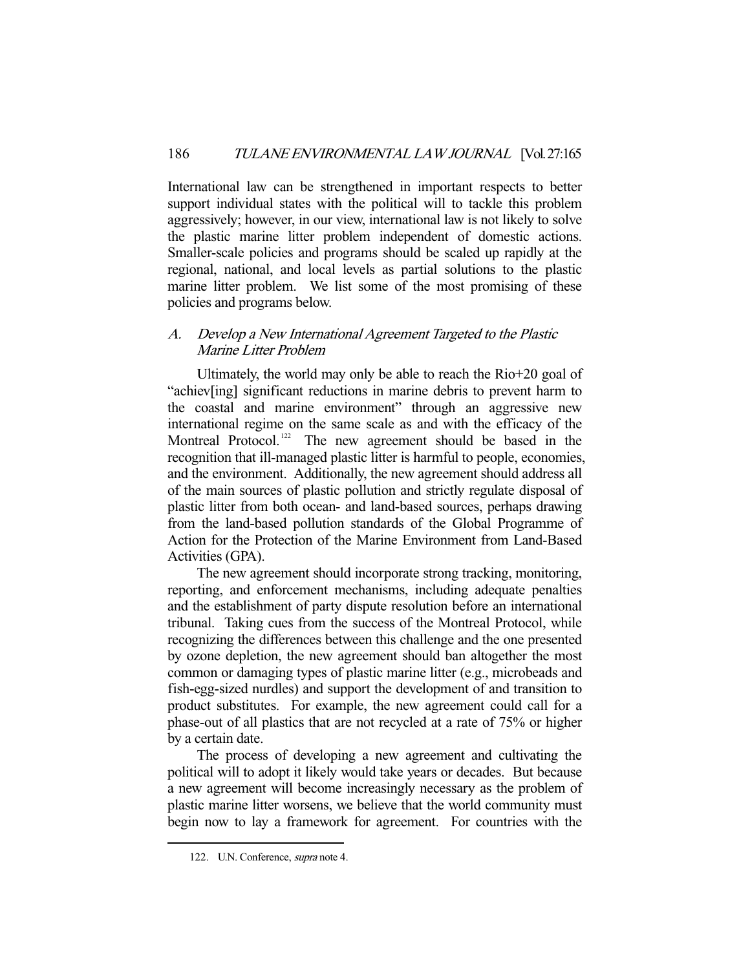International law can be strengthened in important respects to better support individual states with the political will to tackle this problem aggressively; however, in our view, international law is not likely to solve the plastic marine litter problem independent of domestic actions. Smaller-scale policies and programs should be scaled up rapidly at the regional, national, and local levels as partial solutions to the plastic marine litter problem. We list some of the most promising of these policies and programs below.

### A. Develop a New International Agreement Targeted to the Plastic Marine Litter Problem

 Ultimately, the world may only be able to reach the Rio+20 goal of "achiev[ing] significant reductions in marine debris to prevent harm to the coastal and marine environment" through an aggressive new international regime on the same scale as and with the efficacy of the Montreal Protocol.<sup>122</sup> The new agreement should be based in the recognition that ill-managed plastic litter is harmful to people, economies, and the environment. Additionally, the new agreement should address all of the main sources of plastic pollution and strictly regulate disposal of plastic litter from both ocean- and land-based sources, perhaps drawing from the land-based pollution standards of the Global Programme of Action for the Protection of the Marine Environment from Land-Based Activities (GPA).

 The new agreement should incorporate strong tracking, monitoring, reporting, and enforcement mechanisms, including adequate penalties and the establishment of party dispute resolution before an international tribunal. Taking cues from the success of the Montreal Protocol, while recognizing the differences between this challenge and the one presented by ozone depletion, the new agreement should ban altogether the most common or damaging types of plastic marine litter (e.g., microbeads and fish-egg-sized nurdles) and support the development of and transition to product substitutes. For example, the new agreement could call for a phase-out of all plastics that are not recycled at a rate of 75% or higher by a certain date.

 The process of developing a new agreement and cultivating the political will to adopt it likely would take years or decades. But because a new agreement will become increasingly necessary as the problem of plastic marine litter worsens, we believe that the world community must begin now to lay a framework for agreement. For countries with the

 <sup>122.</sup> U.N. Conference, supra note 4.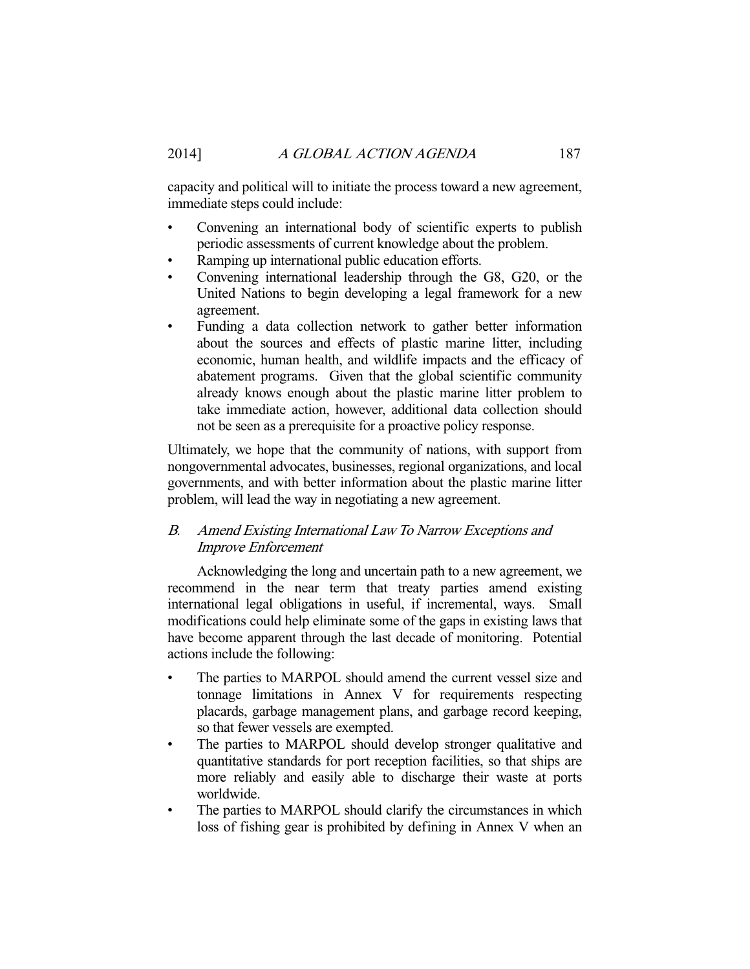capacity and political will to initiate the process toward a new agreement, immediate steps could include:

- Convening an international body of scientific experts to publish periodic assessments of current knowledge about the problem.
- Ramping up international public education efforts.
- Convening international leadership through the G8, G20, or the United Nations to begin developing a legal framework for a new agreement.
- Funding a data collection network to gather better information about the sources and effects of plastic marine litter, including economic, human health, and wildlife impacts and the efficacy of abatement programs. Given that the global scientific community already knows enough about the plastic marine litter problem to take immediate action, however, additional data collection should not be seen as a prerequisite for a proactive policy response.

Ultimately, we hope that the community of nations, with support from nongovernmental advocates, businesses, regional organizations, and local governments, and with better information about the plastic marine litter problem, will lead the way in negotiating a new agreement.

### B. Amend Existing International Law To Narrow Exceptions and Improve Enforcement

 Acknowledging the long and uncertain path to a new agreement, we recommend in the near term that treaty parties amend existing international legal obligations in useful, if incremental, ways. Small modifications could help eliminate some of the gaps in existing laws that have become apparent through the last decade of monitoring. Potential actions include the following:

- The parties to MARPOL should amend the current vessel size and tonnage limitations in Annex V for requirements respecting placards, garbage management plans, and garbage record keeping, so that fewer vessels are exempted.
- The parties to MARPOL should develop stronger qualitative and quantitative standards for port reception facilities, so that ships are more reliably and easily able to discharge their waste at ports worldwide.
- The parties to MARPOL should clarify the circumstances in which loss of fishing gear is prohibited by defining in Annex V when an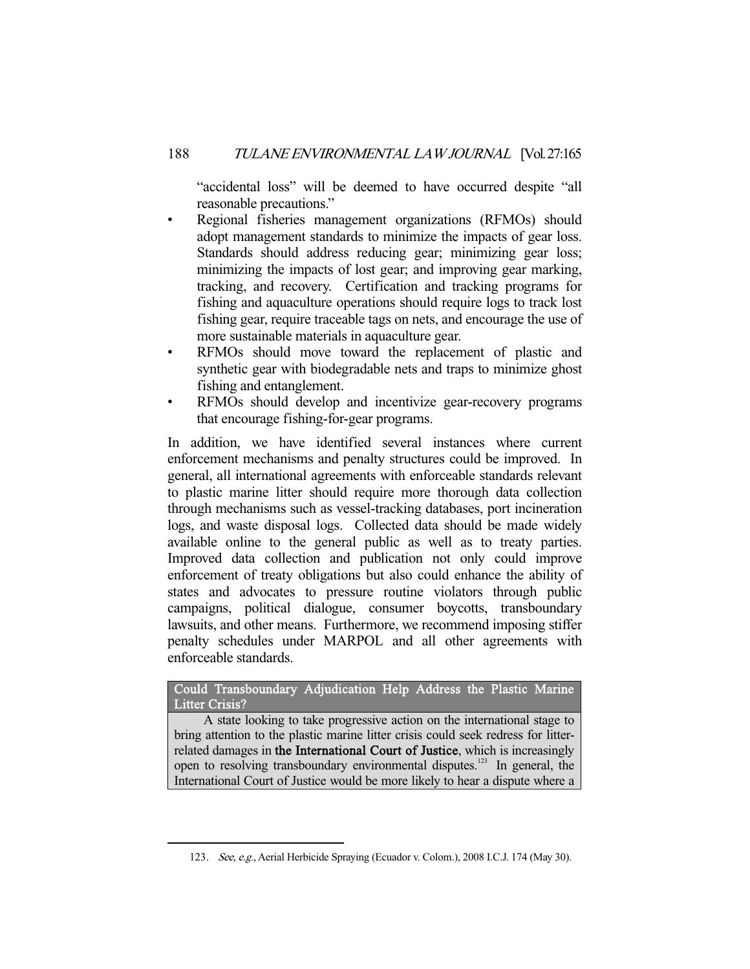"accidental loss" will be deemed to have occurred despite "all reasonable precautions."

- Regional fisheries management organizations (RFMOs) should adopt management standards to minimize the impacts of gear loss. Standards should address reducing gear; minimizing gear loss; minimizing the impacts of lost gear; and improving gear marking, tracking, and recovery. Certification and tracking programs for fishing and aquaculture operations should require logs to track lost fishing gear, require traceable tags on nets, and encourage the use of more sustainable materials in aquaculture gear.
- RFMOs should move toward the replacement of plastic and synthetic gear with biodegradable nets and traps to minimize ghost fishing and entanglement.
- RFMOs should develop and incentivize gear-recovery programs that encourage fishing-for-gear programs.

In addition, we have identified several instances where current enforcement mechanisms and penalty structures could be improved. In general, all international agreements with enforceable standards relevant to plastic marine litter should require more thorough data collection through mechanisms such as vessel-tracking databases, port incineration logs, and waste disposal logs. Collected data should be made widely available online to the general public as well as to treaty parties. Improved data collection and publication not only could improve enforcement of treaty obligations but also could enhance the ability of states and advocates to pressure routine violators through public campaigns, political dialogue, consumer boycotts, transboundary lawsuits, and other means. Furthermore, we recommend imposing stiffer penalty schedules under MARPOL and all other agreements with enforceable standards.

Could Transboundary Adjudication Help Address the Plastic Marine Litter Crisis?

 A state looking to take progressive action on the international stage to bring attention to the plastic marine litter crisis could seek redress for litterrelated damages in the International Court of Justice, which is increasingly open to resolving transboundary environmental disputes.<sup>123</sup> In general, the International Court of Justice would be more likely to hear a dispute where a

 <sup>123.</sup> See, e.g., Aerial Herbicide Spraying (Ecuador v. Colom.), 2008 I.C.J. 174 (May 30).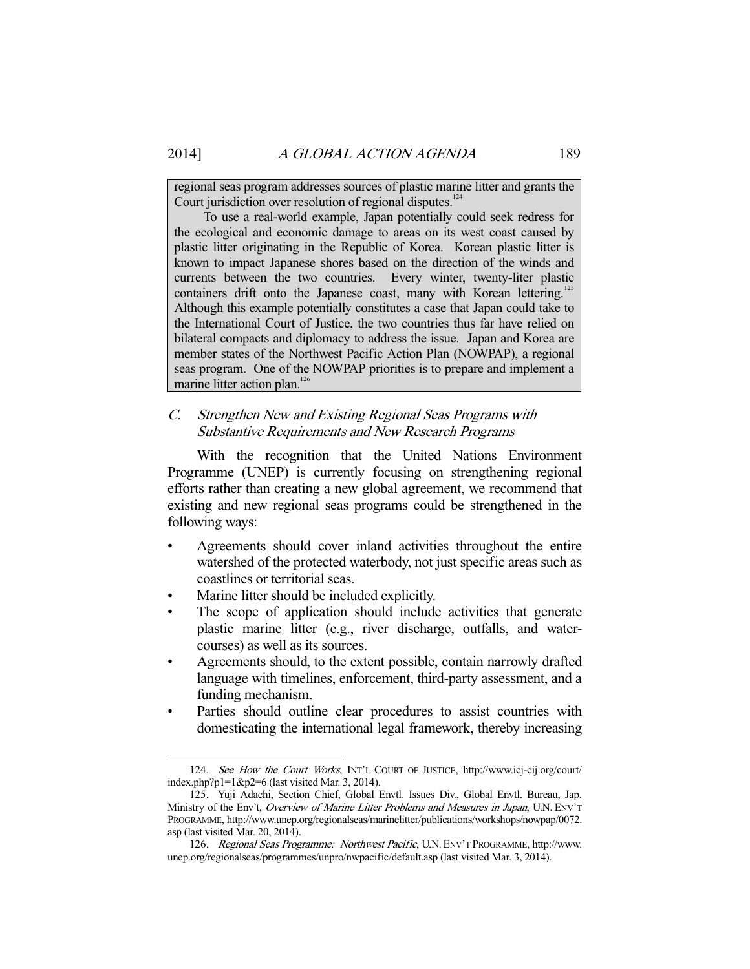regional seas program addresses sources of plastic marine litter and grants the Court jurisdiction over resolution of regional disputes.<sup>124</sup>

 To use a real-world example, Japan potentially could seek redress for the ecological and economic damage to areas on its west coast caused by plastic litter originating in the Republic of Korea. Korean plastic litter is known to impact Japanese shores based on the direction of the winds and currents between the two countries. Every winter, twenty-liter plastic containers drift onto the Japanese coast, many with Korean lettering.<sup>125</sup> Although this example potentially constitutes a case that Japan could take to the International Court of Justice, the two countries thus far have relied on bilateral compacts and diplomacy to address the issue. Japan and Korea are member states of the Northwest Pacific Action Plan (NOWPAP), a regional seas program. One of the NOWPAP priorities is to prepare and implement a marine litter action plan.<sup>126</sup>

### C. Strengthen New and Existing Regional Seas Programs with Substantive Requirements and New Research Programs

 With the recognition that the United Nations Environment Programme (UNEP) is currently focusing on strengthening regional efforts rather than creating a new global agreement, we recommend that existing and new regional seas programs could be strengthened in the following ways:

- Agreements should cover inland activities throughout the entire watershed of the protected waterbody, not just specific areas such as coastlines or territorial seas.
- Marine litter should be included explicitly.
- The scope of application should include activities that generate plastic marine litter (e.g., river discharge, outfalls, and watercourses) as well as its sources.
- Agreements should, to the extent possible, contain narrowly drafted language with timelines, enforcement, third-party assessment, and a funding mechanism.
- Parties should outline clear procedures to assist countries with domesticating the international legal framework, thereby increasing

 <sup>124.</sup> See How the Court Works, INT'L COURT OF JUSTICE, http://www.icj-cij.org/court/ index.php?p1=1&p2=6 (last visited Mar. 3, 2014).

 <sup>125.</sup> Yuji Adachi, Section Chief, Global Envtl. Issues Div., Global Envtl. Bureau, Jap. Ministry of the Env't, Overview of Marine Litter Problems and Measures in Japan, U.N. ENV'T PROGRAMME, http://www.unep.org/regionalseas/marinelitter/publications/workshops/nowpap/0072. asp (last visited Mar. 20, 2014).

 <sup>126.</sup> Regional Seas Programme: Northwest Pacific, U.N. ENV'T PROGRAMME, http://www. unep.org/regionalseas/programmes/unpro/nwpacific/default.asp (last visited Mar. 3, 2014).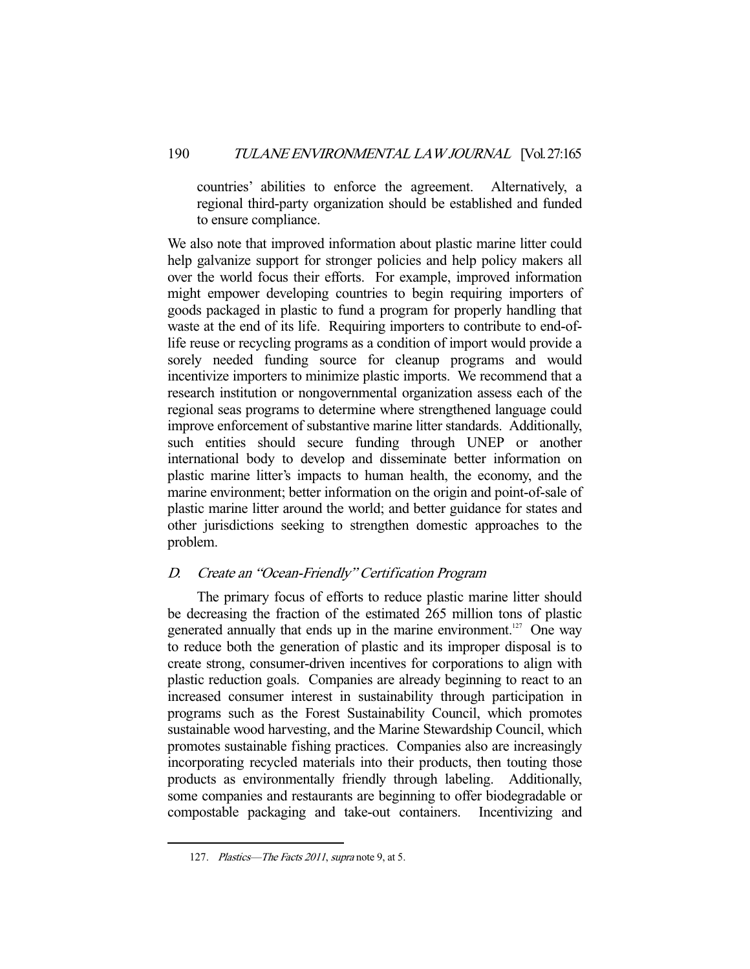countries' abilities to enforce the agreement. Alternatively, a regional third-party organization should be established and funded to ensure compliance.

We also note that improved information about plastic marine litter could help galvanize support for stronger policies and help policy makers all over the world focus their efforts. For example, improved information might empower developing countries to begin requiring importers of goods packaged in plastic to fund a program for properly handling that waste at the end of its life. Requiring importers to contribute to end-oflife reuse or recycling programs as a condition of import would provide a sorely needed funding source for cleanup programs and would incentivize importers to minimize plastic imports. We recommend that a research institution or nongovernmental organization assess each of the regional seas programs to determine where strengthened language could improve enforcement of substantive marine litter standards. Additionally, such entities should secure funding through UNEP or another international body to develop and disseminate better information on plastic marine litter's impacts to human health, the economy, and the marine environment; better information on the origin and point-of-sale of plastic marine litter around the world; and better guidance for states and other jurisdictions seeking to strengthen domestic approaches to the problem.

### D. Create an "Ocean-Friendly" Certification Program

 The primary focus of efforts to reduce plastic marine litter should be decreasing the fraction of the estimated 265 million tons of plastic generated annually that ends up in the marine environment.<sup>127</sup> One way to reduce both the generation of plastic and its improper disposal is to create strong, consumer-driven incentives for corporations to align with plastic reduction goals. Companies are already beginning to react to an increased consumer interest in sustainability through participation in programs such as the Forest Sustainability Council, which promotes sustainable wood harvesting, and the Marine Stewardship Council, which promotes sustainable fishing practices. Companies also are increasingly incorporating recycled materials into their products, then touting those products as environmentally friendly through labeling. Additionally, some companies and restaurants are beginning to offer biodegradable or compostable packaging and take-out containers. Incentivizing and

<sup>127.</sup> Plastics—The Facts 2011, supra note 9, at 5.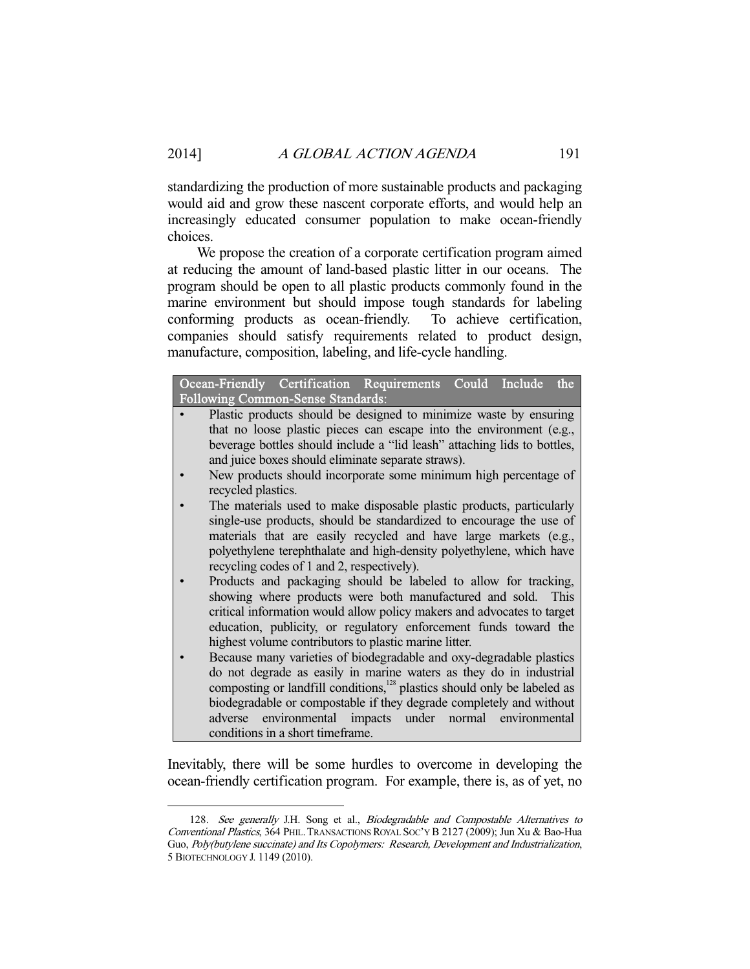standardizing the production of more sustainable products and packaging would aid and grow these nascent corporate efforts, and would help an increasingly educated consumer population to make ocean-friendly choices.

 We propose the creation of a corporate certification program aimed at reducing the amount of land-based plastic litter in our oceans. The program should be open to all plastic products commonly found in the marine environment but should impose tough standards for labeling conforming products as ocean-friendly. To achieve certification, companies should satisfy requirements related to product design, manufacture, composition, labeling, and life-cycle handling.

| Ocean-Friendly Certification Requirements Could Include<br>the                                                                                                                                                                                                                   |  |  |  |  |  |  |
|----------------------------------------------------------------------------------------------------------------------------------------------------------------------------------------------------------------------------------------------------------------------------------|--|--|--|--|--|--|
| <b>Following Common-Sense Standards:</b>                                                                                                                                                                                                                                         |  |  |  |  |  |  |
| Plastic products should be designed to minimize waste by ensuring                                                                                                                                                                                                                |  |  |  |  |  |  |
| that no loose plastic pieces can escape into the environment (e.g.,                                                                                                                                                                                                              |  |  |  |  |  |  |
| beverage bottles should include a "lid leash" attaching lids to bottles,                                                                                                                                                                                                         |  |  |  |  |  |  |
| and juice boxes should eliminate separate straws).                                                                                                                                                                                                                               |  |  |  |  |  |  |
| New products should incorporate some minimum high percentage of<br>recycled plastics.                                                                                                                                                                                            |  |  |  |  |  |  |
| The materials used to make disposable plastic products, particularly<br>single-use products, should be standardized to encourage the use of<br>materials that are easily recycled and have large markets (e.g.,                                                                  |  |  |  |  |  |  |
| polyethylene terephthalate and high-density polyethylene, which have<br>recycling codes of 1 and 2, respectively).                                                                                                                                                               |  |  |  |  |  |  |
| Products and packaging should be labeled to allow for tracking,<br>showing where products were both manufactured and sold.<br>This<br>critical information would allow policy makers and advocates to target<br>education, publicity, or regulatory enforcement funds toward the |  |  |  |  |  |  |
| highest volume contributors to plastic marine litter.                                                                                                                                                                                                                            |  |  |  |  |  |  |
| Because many varieties of biodegradable and oxy-degradable plastics                                                                                                                                                                                                              |  |  |  |  |  |  |
| do not degrade as easily in marine waters as they do in industrial                                                                                                                                                                                                               |  |  |  |  |  |  |
| composting or landfill conditions, <sup>128</sup> plastics should only be labeled as                                                                                                                                                                                             |  |  |  |  |  |  |
| biodegradable or compostable if they degrade completely and without<br>adverse environmental impacts under normal environmental                                                                                                                                                  |  |  |  |  |  |  |
| conditions in a short timeframe.                                                                                                                                                                                                                                                 |  |  |  |  |  |  |
|                                                                                                                                                                                                                                                                                  |  |  |  |  |  |  |

Inevitably, there will be some hurdles to overcome in developing the ocean-friendly certification program. For example, there is, as of yet, no

<sup>128.</sup> See generally J.H. Song et al., Biodegradable and Compostable Alternatives to Conventional Plastics, 364 PHIL. TRANSACTIONS ROYAL SOC'Y B 2127 (2009); Jun Xu & Bao-Hua Guo, Poly(butylene succinate) and Its Copolymers: Research, Development and Industrialization, 5 BIOTECHNOLOGY J. 1149 (2010).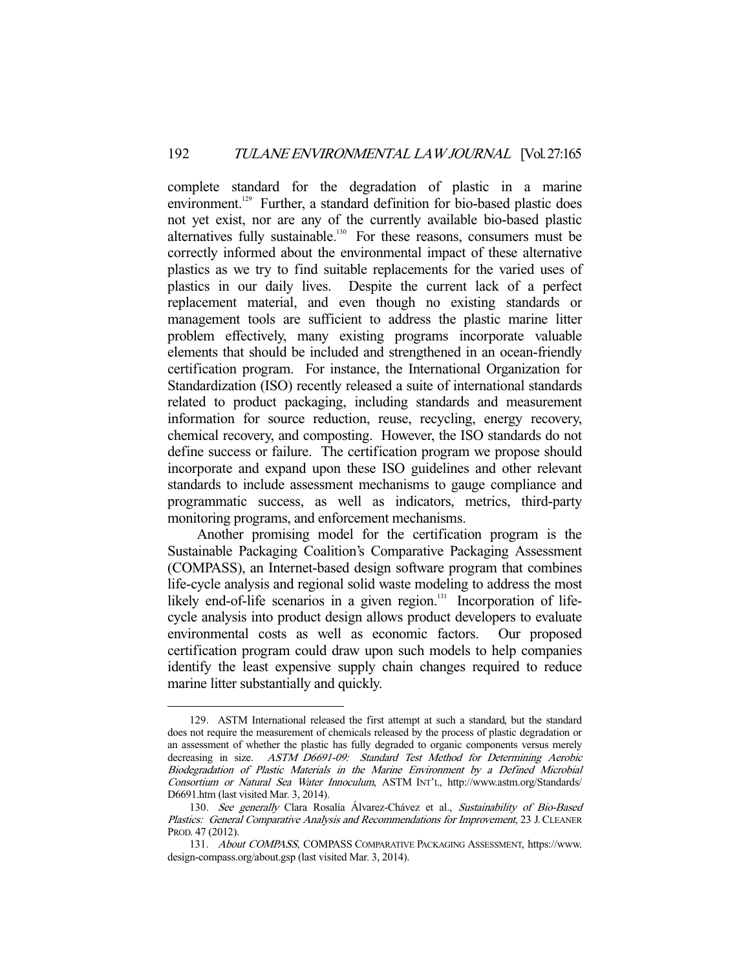complete standard for the degradation of plastic in a marine environment.<sup>129</sup> Further, a standard definition for bio-based plastic does not yet exist, nor are any of the currently available bio-based plastic alternatives fully sustainable.<sup>130</sup> For these reasons, consumers must be correctly informed about the environmental impact of these alternative plastics as we try to find suitable replacements for the varied uses of plastics in our daily lives. Despite the current lack of a perfect replacement material, and even though no existing standards or management tools are sufficient to address the plastic marine litter problem effectively, many existing programs incorporate valuable elements that should be included and strengthened in an ocean-friendly certification program. For instance, the International Organization for Standardization (ISO) recently released a suite of international standards related to product packaging, including standards and measurement information for source reduction, reuse, recycling, energy recovery, chemical recovery, and composting. However, the ISO standards do not define success or failure. The certification program we propose should incorporate and expand upon these ISO guidelines and other relevant standards to include assessment mechanisms to gauge compliance and programmatic success, as well as indicators, metrics, third-party monitoring programs, and enforcement mechanisms.

 Another promising model for the certification program is the Sustainable Packaging Coalition's Comparative Packaging Assessment (COMPASS), an Internet-based design software program that combines life-cycle analysis and regional solid waste modeling to address the most likely end-of-life scenarios in a given region.<sup>131</sup> Incorporation of lifecycle analysis into product design allows product developers to evaluate environmental costs as well as economic factors. Our proposed certification program could draw upon such models to help companies identify the least expensive supply chain changes required to reduce marine litter substantially and quickly.

 <sup>129.</sup> ASTM International released the first attempt at such a standard, but the standard does not require the measurement of chemicals released by the process of plastic degradation or an assessment of whether the plastic has fully degraded to organic components versus merely decreasing in size. ASTM D6691-09: Standard Test Method for Determining Aerobic Biodegradation of Plastic Materials in the Marine Environment by a Defined Microbial Consortium or Natural Sea Water Innoculum, ASTM INT'L, http://www.astm.org/Standards/ D6691.htm (last visited Mar. 3, 2014).

<sup>130.</sup> See generally Clara Rosalía Álvarez-Chávez et al., Sustainability of Bio-Based Plastics: General Comparative Analysis and Recommendations for Improvement, 23 J.CLEANER PROD. 47 (2012).

 <sup>131.</sup> About COMPASS, COMPASS COMPARATIVE PACKAGING ASSESSMENT, https://www. design-compass.org/about.gsp (last visited Mar. 3, 2014).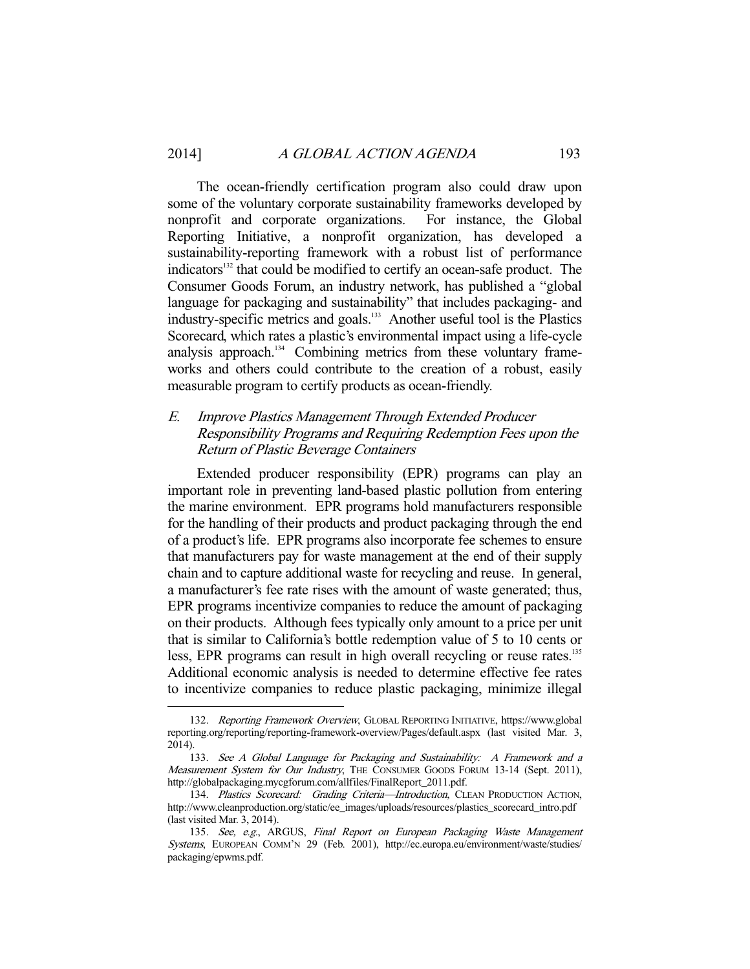The ocean-friendly certification program also could draw upon some of the voluntary corporate sustainability frameworks developed by nonprofit and corporate organizations. For instance, the Global Reporting Initiative, a nonprofit organization, has developed a sustainability-reporting framework with a robust list of performance indicators<sup>132</sup> that could be modified to certify an ocean-safe product. The Consumer Goods Forum, an industry network, has published a "global language for packaging and sustainability" that includes packaging- and industry-specific metrics and goals.<sup>133</sup> Another useful tool is the Plastics Scorecard, which rates a plastic's environmental impact using a life-cycle analysis approach.<sup>134</sup> Combining metrics from these voluntary frameworks and others could contribute to the creation of a robust, easily measurable program to certify products as ocean-friendly.

### E. Improve Plastics Management Through Extended Producer Responsibility Programs and Requiring Redemption Fees upon the Return of Plastic Beverage Containers

 Extended producer responsibility (EPR) programs can play an important role in preventing land-based plastic pollution from entering the marine environment. EPR programs hold manufacturers responsible for the handling of their products and product packaging through the end of a product's life. EPR programs also incorporate fee schemes to ensure that manufacturers pay for waste management at the end of their supply chain and to capture additional waste for recycling and reuse. In general, a manufacturer's fee rate rises with the amount of waste generated; thus, EPR programs incentivize companies to reduce the amount of packaging on their products. Although fees typically only amount to a price per unit that is similar to California's bottle redemption value of 5 to 10 cents or less, EPR programs can result in high overall recycling or reuse rates.<sup>135</sup> Additional economic analysis is needed to determine effective fee rates to incentivize companies to reduce plastic packaging, minimize illegal

 <sup>132.</sup> Reporting Framework Overview, GLOBAL REPORTING INITIATIVE, https://www.global reporting.org/reporting/reporting-framework-overview/Pages/default.aspx (last visited Mar. 3, 2014).

 <sup>133.</sup> See A Global Language for Packaging and Sustainability: A Framework and a Measurement System for Our Industry, THE CONSUMER GOODS FORUM 13-14 (Sept. 2011), http://globalpackaging.mycgforum.com/allfiles/FinalReport\_2011.pdf.

<sup>134.</sup> Plastics Scorecard: Grading Criteria-Introduction, CLEAN PRODUCTION ACTION, http://www.cleanproduction.org/static/ee\_images/uploads/resources/plastics\_scorecard\_intro.pdf (last visited Mar. 3, 2014).

<sup>135.</sup> See, e.g., ARGUS, Final Report on European Packaging Waste Management Systems, EUROPEAN COMM'N 29 (Feb. 2001), http://ec.europa.eu/environment/waste/studies/ packaging/epwms.pdf.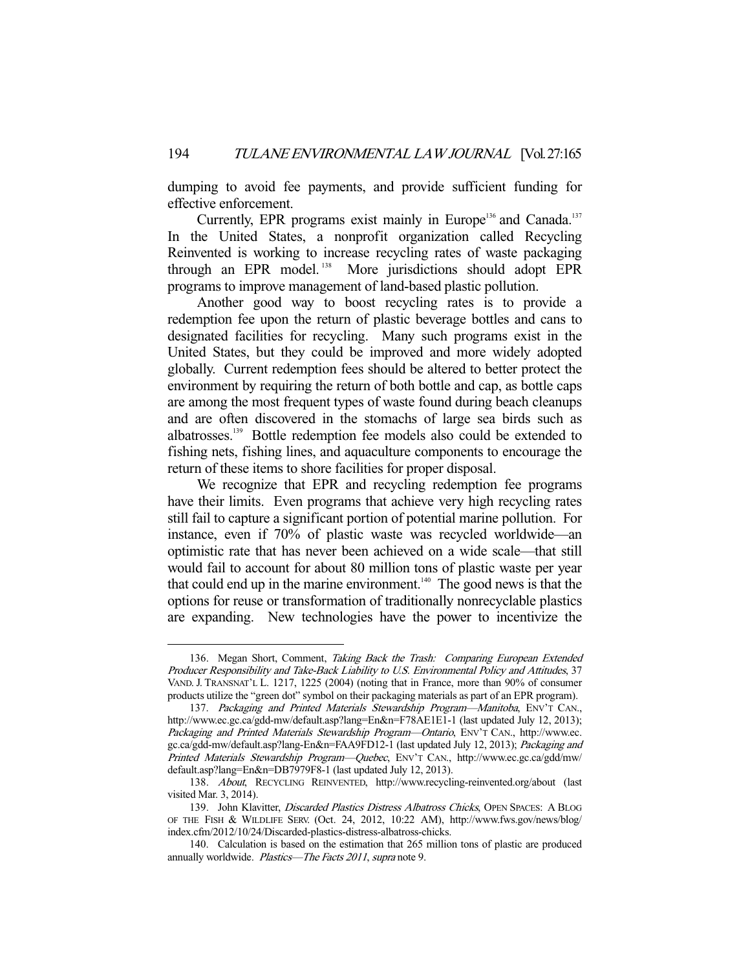dumping to avoid fee payments, and provide sufficient funding for effective enforcement.

Currently, EPR programs exist mainly in Europe<sup>136</sup> and Canada.<sup>137</sup> In the United States, a nonprofit organization called Recycling Reinvented is working to increase recycling rates of waste packaging through an EPR model.<sup>138</sup> More jurisdictions should adopt EPR programs to improve management of land-based plastic pollution.

 Another good way to boost recycling rates is to provide a redemption fee upon the return of plastic beverage bottles and cans to designated facilities for recycling. Many such programs exist in the United States, but they could be improved and more widely adopted globally. Current redemption fees should be altered to better protect the environment by requiring the return of both bottle and cap, as bottle caps are among the most frequent types of waste found during beach cleanups and are often discovered in the stomachs of large sea birds such as albatrosses.139 Bottle redemption fee models also could be extended to fishing nets, fishing lines, and aquaculture components to encourage the return of these items to shore facilities for proper disposal.

We recognize that EPR and recycling redemption fee programs have their limits. Even programs that achieve very high recycling rates still fail to capture a significant portion of potential marine pollution. For instance, even if 70% of plastic waste was recycled worldwide—an optimistic rate that has never been achieved on a wide scale—that still would fail to account for about 80 million tons of plastic waste per year that could end up in the marine environment.<sup>140</sup> The good news is that the options for reuse or transformation of traditionally nonrecyclable plastics are expanding. New technologies have the power to incentivize the

<sup>136.</sup> Megan Short, Comment, Taking Back the Trash: Comparing European Extended Producer Responsibility and Take-Back Liability to U.S. Environmental Policy and Attitudes, 37 VAND. J. TRANSNAT'L L. 1217, 1225 (2004) (noting that in France, more than 90% of consumer products utilize the "green dot" symbol on their packaging materials as part of an EPR program).

<sup>137.</sup> Packaging and Printed Materials Stewardship Program—Manitoba, ENV'T CAN., http://www.ec.gc.ca/gdd-mw/default.asp?lang=En&n=F78AE1E1-1 (last updated July 12, 2013); Packaging and Printed Materials Stewardship Program-Ontario, ENV'T CAN., http://www.ec. gc.ca/gdd-mw/default.asp?lang-En&n=FAA9FD12-1 (last updated July 12, 2013); Packaging and Printed Materials Stewardship Program—Quebec, ENV'T CAN., http://www.ec.gc.ca/gdd/mw/ default.asp?lang=En&n=DB7979F8-1 (last updated July 12, 2013).

 <sup>138.</sup> About, RECYCLING REINVENTED, http://www.recycling-reinvented.org/about (last visited Mar. 3, 2014).

<sup>139.</sup> John Klavitter, Discarded Plastics Distress Albatross Chicks, OPEN SPACES: A BLOG OF THE FISH & WILDLIFE SERV. (Oct. 24, 2012, 10:22 AM), http://www.fws.gov/news/blog/ index.cfm/2012/10/24/Discarded-plastics-distress-albatross-chicks.

 <sup>140.</sup> Calculation is based on the estimation that 265 million tons of plastic are produced annually worldwide. Plastics-The Facts 2011, supra note 9.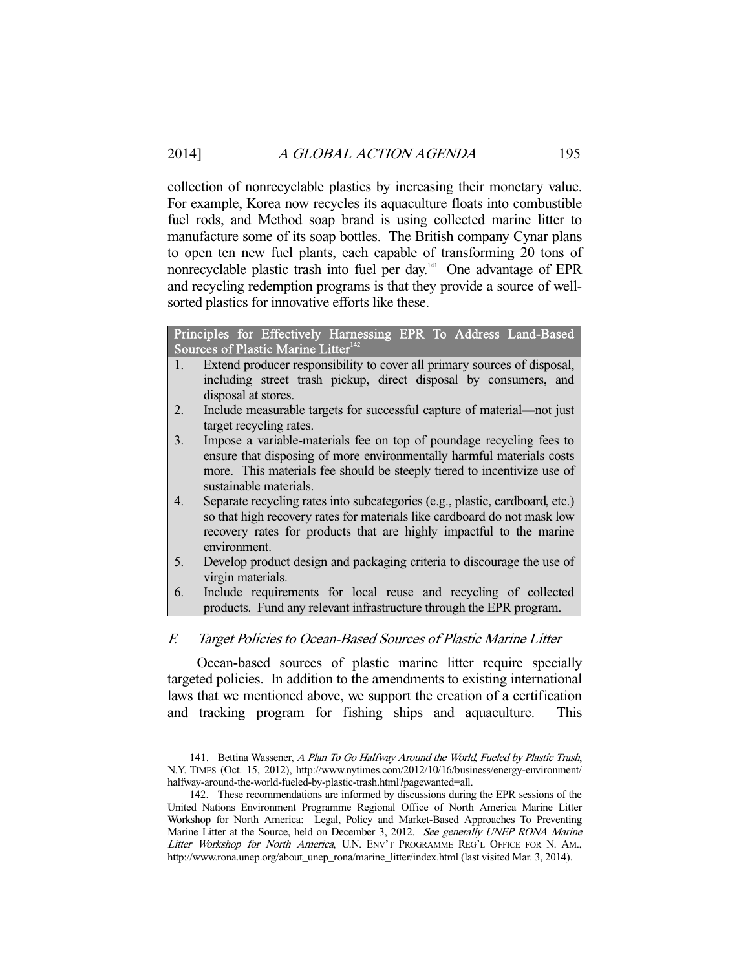collection of nonrecyclable plastics by increasing their monetary value. For example, Korea now recycles its aquaculture floats into combustible fuel rods, and Method soap brand is using collected marine litter to manufacture some of its soap bottles. The British company Cynar plans to open ten new fuel plants, each capable of transforming 20 tons of nonrecyclable plastic trash into fuel per day.141 One advantage of EPR and recycling redemption programs is that they provide a source of wellsorted plastics for innovative efforts like these.

|                | Principles for Effectively Harnessing EPR To Address Land-Based              |  |  |  |  |  |  |  |
|----------------|------------------------------------------------------------------------------|--|--|--|--|--|--|--|
|                | Sources of Plastic Marine Litter <sup>142</sup>                              |  |  |  |  |  |  |  |
| $\mathbf{1}$ . | Extend producer responsibility to cover all primary sources of disposal,     |  |  |  |  |  |  |  |
|                | including street trash pickup, direct disposal by consumers, and             |  |  |  |  |  |  |  |
|                | disposal at stores.                                                          |  |  |  |  |  |  |  |
| 2.             | Include measurable targets for successful capture of material—not just       |  |  |  |  |  |  |  |
|                | target recycling rates.                                                      |  |  |  |  |  |  |  |
| 3.             | Impose a variable-materials fee on top of poundage recycling fees to         |  |  |  |  |  |  |  |
|                | ensure that disposing of more environmentally harmful materials costs        |  |  |  |  |  |  |  |
|                | more. This materials fee should be steeply tiered to incentivize use of      |  |  |  |  |  |  |  |
|                | sustainable materials.                                                       |  |  |  |  |  |  |  |
| 4.             | Separate recycling rates into subcategories (e.g., plastic, cardboard, etc.) |  |  |  |  |  |  |  |
|                | so that high recovery rates for materials like cardboard do not mask low     |  |  |  |  |  |  |  |
|                | recovery rates for products that are highly impactful to the marine          |  |  |  |  |  |  |  |
|                | environment.                                                                 |  |  |  |  |  |  |  |
| 5.             | Develop product design and packaging criteria to discourage the use of       |  |  |  |  |  |  |  |
|                | virgin materials.                                                            |  |  |  |  |  |  |  |
| 6.             | Include requirements for local reuse and recycling of collected              |  |  |  |  |  |  |  |
|                | products. Fund any relevant infrastructure through the EPR program.          |  |  |  |  |  |  |  |

### F. Target Policies to Ocean-Based Sources of Plastic Marine Litter

 Ocean-based sources of plastic marine litter require specially targeted policies. In addition to the amendments to existing international laws that we mentioned above, we support the creation of a certification and tracking program for fishing ships and aquaculture. This

<sup>141.</sup> Bettina Wassener, A Plan To Go Halfway Around the World, Fueled by Plastic Trash, N.Y. TIMES (Oct. 15, 2012), http://www.nytimes.com/2012/10/16/business/energy-environment/ halfway-around-the-world-fueled-by-plastic-trash.html?pagewanted=all.

 <sup>142.</sup> These recommendations are informed by discussions during the EPR sessions of the United Nations Environment Programme Regional Office of North America Marine Litter Workshop for North America: Legal, Policy and Market-Based Approaches To Preventing Marine Litter at the Source, held on December 3, 2012. See generally UNEP RONA Marine Litter Workshop for North America, U.N. ENV'T PROGRAMME REG'L OFFICE FOR N. AM., http://www.rona.unep.org/about\_unep\_rona/marine\_litter/index.html (last visited Mar. 3, 2014).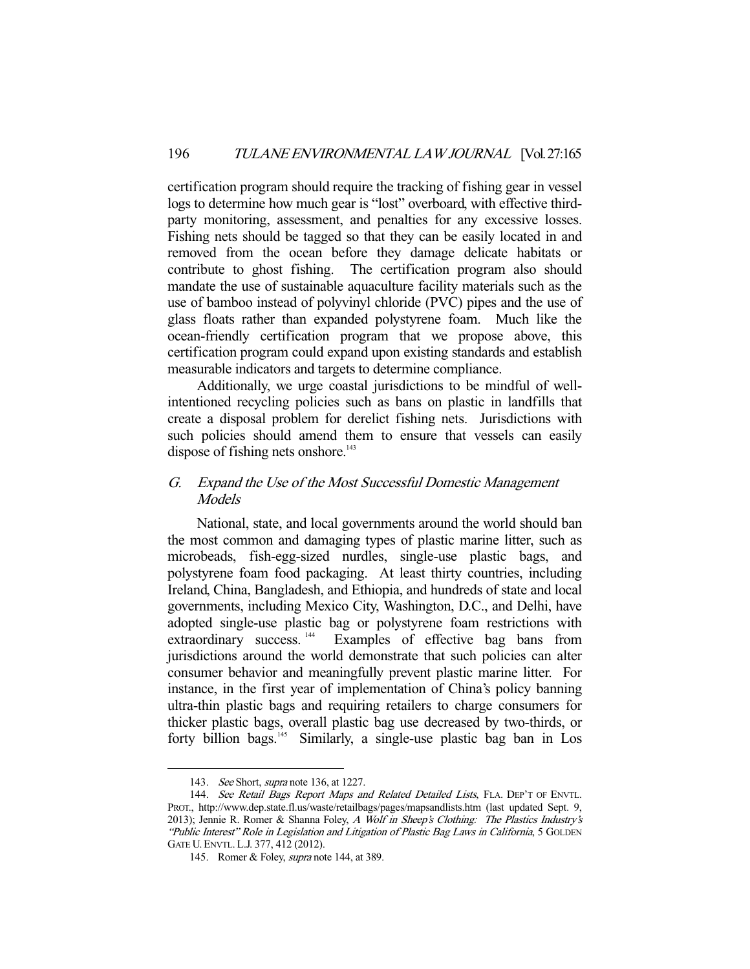certification program should require the tracking of fishing gear in vessel logs to determine how much gear is "lost" overboard, with effective thirdparty monitoring, assessment, and penalties for any excessive losses. Fishing nets should be tagged so that they can be easily located in and removed from the ocean before they damage delicate habitats or contribute to ghost fishing. The certification program also should mandate the use of sustainable aquaculture facility materials such as the use of bamboo instead of polyvinyl chloride (PVC) pipes and the use of glass floats rather than expanded polystyrene foam. Much like the ocean-friendly certification program that we propose above, this certification program could expand upon existing standards and establish measurable indicators and targets to determine compliance.

 Additionally, we urge coastal jurisdictions to be mindful of wellintentioned recycling policies such as bans on plastic in landfills that create a disposal problem for derelict fishing nets. Jurisdictions with such policies should amend them to ensure that vessels can easily dispose of fishing nets onshore. $143$ 

### G. Expand the Use of the Most Successful Domestic Management **Models**

 National, state, and local governments around the world should ban the most common and damaging types of plastic marine litter, such as microbeads, fish-egg-sized nurdles, single-use plastic bags, and polystyrene foam food packaging. At least thirty countries, including Ireland, China, Bangladesh, and Ethiopia, and hundreds of state and local governments, including Mexico City, Washington, D.C., and Delhi, have adopted single-use plastic bag or polystyrene foam restrictions with extraordinary success.<sup>144</sup> Examples of effective bag bans from jurisdictions around the world demonstrate that such policies can alter consumer behavior and meaningfully prevent plastic marine litter. For instance, in the first year of implementation of China's policy banning ultra-thin plastic bags and requiring retailers to charge consumers for thicker plastic bags, overall plastic bag use decreased by two-thirds, or forty billion bags.<sup>145</sup> Similarly, a single-use plastic bag ban in Los

<sup>143.</sup> See Short, *supra* note 136, at 1227.

<sup>144.</sup> See Retail Bags Report Maps and Related Detailed Lists, FLA. DEP'T OF ENVTL. PROT., http://www.dep.state.fl.us/waste/retailbags/pages/mapsandlists.htm (last updated Sept. 9, 2013); Jennie R. Romer & Shanna Foley, A Wolf in Sheep's Clothing: The Plastics Industry's "Public Interest" Role in Legislation and Litigation of Plastic Bag Laws in California, 5 GOLDEN GATE U.ENVTL. L.J. 377, 412 (2012).

 <sup>145.</sup> Romer & Foley, supra note 144, at 389.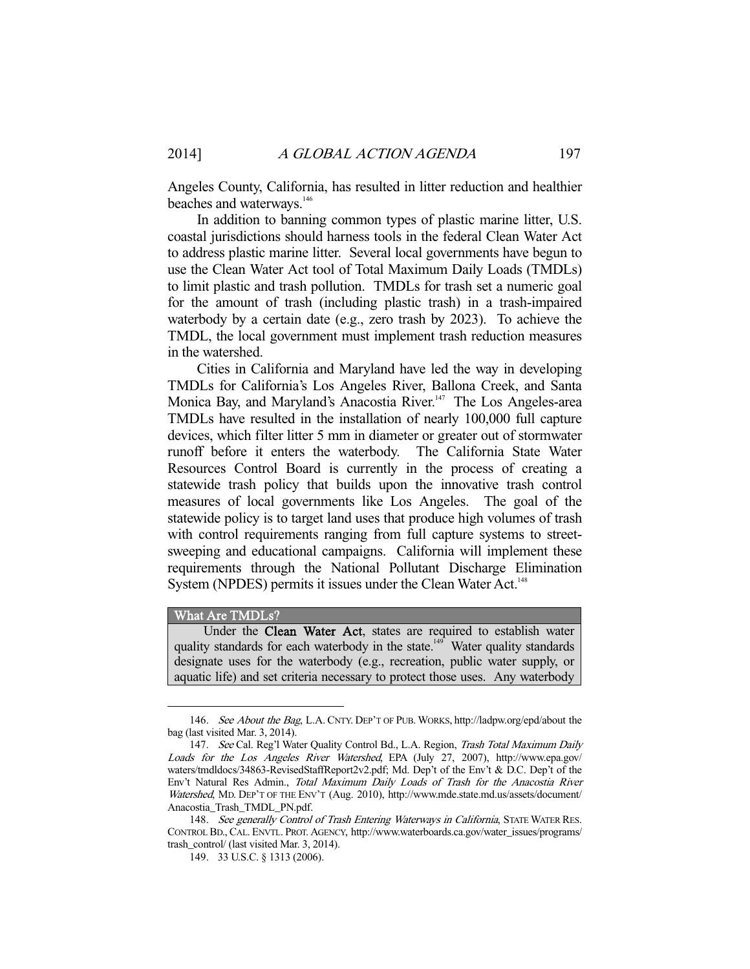Angeles County, California, has resulted in litter reduction and healthier beaches and waterways.<sup>146</sup>

 In addition to banning common types of plastic marine litter, U.S. coastal jurisdictions should harness tools in the federal Clean Water Act to address plastic marine litter. Several local governments have begun to use the Clean Water Act tool of Total Maximum Daily Loads (TMDLs) to limit plastic and trash pollution. TMDLs for trash set a numeric goal for the amount of trash (including plastic trash) in a trash-impaired waterbody by a certain date (e.g., zero trash by 2023). To achieve the TMDL, the local government must implement trash reduction measures in the watershed.

 Cities in California and Maryland have led the way in developing TMDLs for California's Los Angeles River, Ballona Creek, and Santa Monica Bay, and Maryland's Anacostia River.<sup>147</sup> The Los Angeles-area TMDLs have resulted in the installation of nearly 100,000 full capture devices, which filter litter 5 mm in diameter or greater out of stormwater runoff before it enters the waterbody. The California State Water Resources Control Board is currently in the process of creating a statewide trash policy that builds upon the innovative trash control measures of local governments like Los Angeles. The goal of the statewide policy is to target land uses that produce high volumes of trash with control requirements ranging from full capture systems to streetsweeping and educational campaigns. California will implement these requirements through the National Pollutant Discharge Elimination System (NPDES) permits it issues under the Clean Water Act.<sup>148</sup>

#### What Are TMDLs?

-

 Under the Clean Water Act, states are required to establish water quality standards for each waterbody in the state.<sup>149</sup> Water quality standards designate uses for the waterbody (e.g., recreation, public water supply, or aquatic life) and set criteria necessary to protect those uses. Any waterbody

<sup>146.</sup> See About the Bag, L.A. CNTY. DEP'T OF PUB. WORKS, http://ladpw.org/epd/about the bag (last visited Mar. 3, 2014).

<sup>147.</sup> See Cal. Reg'l Water Quality Control Bd., L.A. Region, Trash Total Maximum Daily Loads for the Los Angeles River Watershed, EPA (July 27, 2007), http://www.epa.gov/ waters/tmdldocs/34863-RevisedStaffReport2v2.pdf; Md. Dep't of the Env't & D.C. Dep't of the Env't Natural Res Admin., Total Maximum Daily Loads of Trash for the Anacostia River Watershed, MD. DEP'T OF THE ENV'T (Aug. 2010), http://www.mde.state.md.us/assets/document/ Anacostia\_Trash\_TMDL\_PN.pdf.

<sup>148.</sup> See generally Control of Trash Entering Waterways in California, STATE WATER RES. CONTROL BD., CAL. ENVTL. PROT. AGENCY, http://www.waterboards.ca.gov/water\_issues/programs/ trash\_control/ (last visited Mar. 3, 2014).

 <sup>149. 33</sup> U.S.C. § 1313 (2006).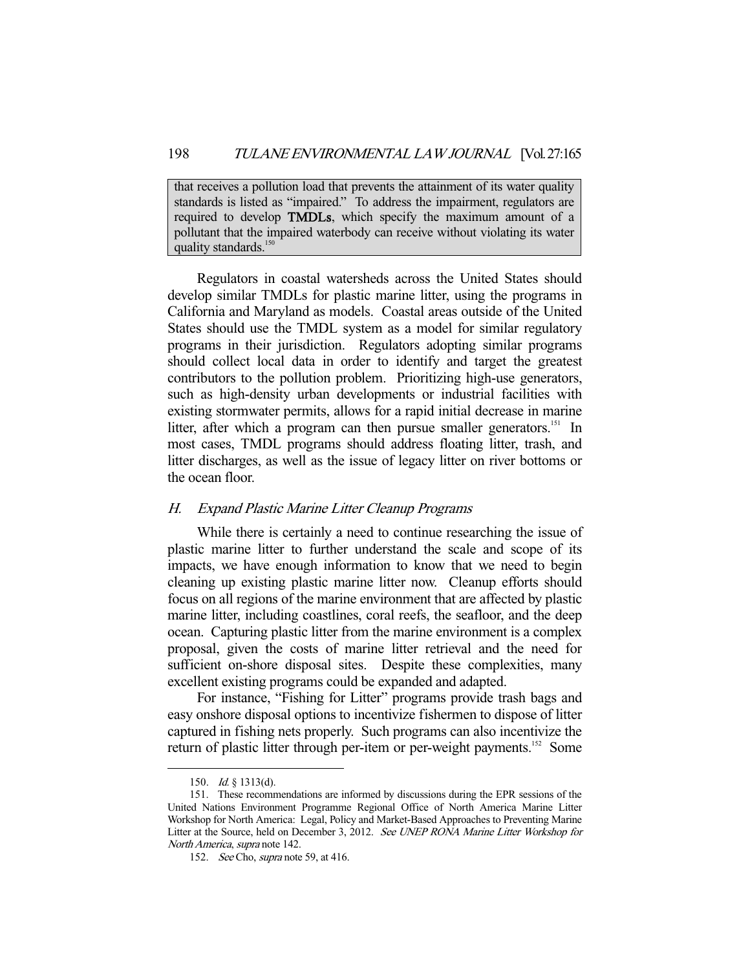that receives a pollution load that prevents the attainment of its water quality standards is listed as "impaired." To address the impairment, regulators are required to develop TMDLs, which specify the maximum amount of a pollutant that the impaired waterbody can receive without violating its water quality standards.<sup>150</sup>

 Regulators in coastal watersheds across the United States should develop similar TMDLs for plastic marine litter, using the programs in California and Maryland as models. Coastal areas outside of the United States should use the TMDL system as a model for similar regulatory programs in their jurisdiction. Regulators adopting similar programs should collect local data in order to identify and target the greatest contributors to the pollution problem. Prioritizing high-use generators, such as high-density urban developments or industrial facilities with existing stormwater permits, allows for a rapid initial decrease in marine litter, after which a program can then pursue smaller generators.<sup>151</sup> In most cases, TMDL programs should address floating litter, trash, and litter discharges, as well as the issue of legacy litter on river bottoms or the ocean floor.

#### H. Expand Plastic Marine Litter Cleanup Programs

 While there is certainly a need to continue researching the issue of plastic marine litter to further understand the scale and scope of its impacts, we have enough information to know that we need to begin cleaning up existing plastic marine litter now. Cleanup efforts should focus on all regions of the marine environment that are affected by plastic marine litter, including coastlines, coral reefs, the seafloor, and the deep ocean. Capturing plastic litter from the marine environment is a complex proposal, given the costs of marine litter retrieval and the need for sufficient on-shore disposal sites. Despite these complexities, many excellent existing programs could be expanded and adapted.

 For instance, "Fishing for Litter" programs provide trash bags and easy onshore disposal options to incentivize fishermen to dispose of litter captured in fishing nets properly. Such programs can also incentivize the return of plastic litter through per-item or per-weight payments.<sup>152</sup> Some

 <sup>150.</sup> Id. § 1313(d).

 <sup>151.</sup> These recommendations are informed by discussions during the EPR sessions of the United Nations Environment Programme Regional Office of North America Marine Litter Workshop for North America: Legal, Policy and Market-Based Approaches to Preventing Marine Litter at the Source, held on December 3, 2012. See UNEP RONA Marine Litter Workshop for North America, supra note 142.

<sup>152.</sup> See Cho, *supra* note 59, at 416.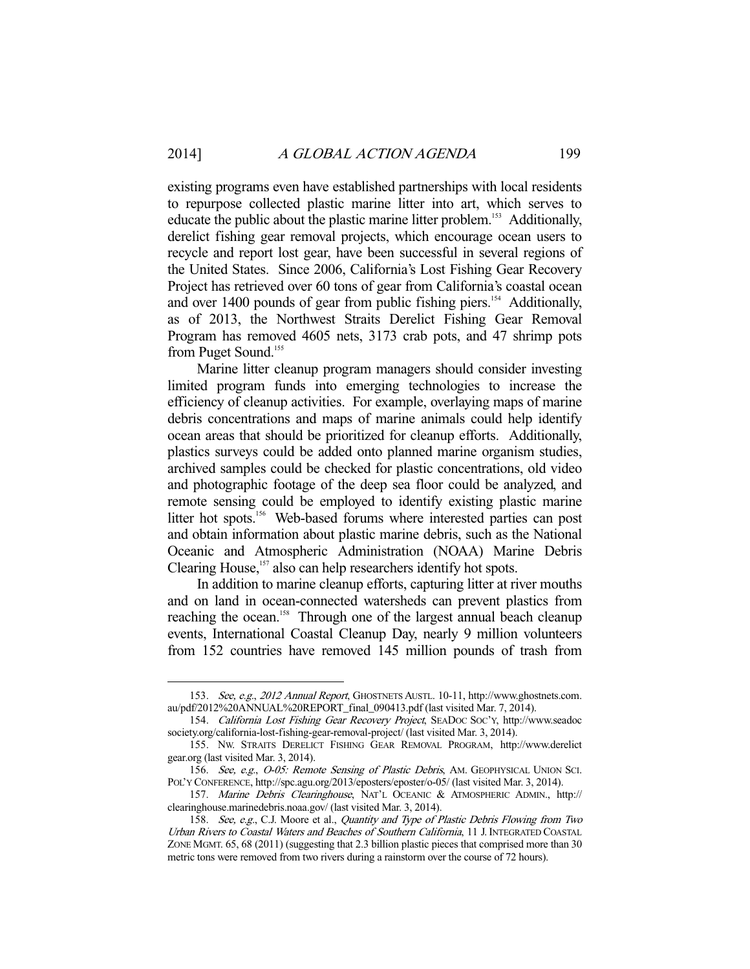existing programs even have established partnerships with local residents to repurpose collected plastic marine litter into art, which serves to educate the public about the plastic marine litter problem.<sup>153</sup> Additionally, derelict fishing gear removal projects, which encourage ocean users to recycle and report lost gear, have been successful in several regions of the United States. Since 2006, California's Lost Fishing Gear Recovery Project has retrieved over 60 tons of gear from California's coastal ocean and over 1400 pounds of gear from public fishing piers.<sup>154</sup> Additionally, as of 2013, the Northwest Straits Derelict Fishing Gear Removal Program has removed 4605 nets, 3173 crab pots, and 47 shrimp pots from Puget Sound.<sup>155</sup>

 Marine litter cleanup program managers should consider investing limited program funds into emerging technologies to increase the efficiency of cleanup activities. For example, overlaying maps of marine debris concentrations and maps of marine animals could help identify ocean areas that should be prioritized for cleanup efforts. Additionally, plastics surveys could be added onto planned marine organism studies, archived samples could be checked for plastic concentrations, old video and photographic footage of the deep sea floor could be analyzed, and remote sensing could be employed to identify existing plastic marine litter hot spots.<sup>156</sup> Web-based forums where interested parties can post and obtain information about plastic marine debris, such as the National Oceanic and Atmospheric Administration (NOAA) Marine Debris Clearing House,<sup>157</sup> also can help researchers identify hot spots.

 In addition to marine cleanup efforts, capturing litter at river mouths and on land in ocean-connected watersheds can prevent plastics from reaching the ocean.<sup>158</sup> Through one of the largest annual beach cleanup events, International Coastal Cleanup Day, nearly 9 million volunteers from 152 countries have removed 145 million pounds of trash from

 <sup>153.</sup> See, e.g., 2012 Annual Report, GHOSTNETS AUSTL. 10-11, http://www.ghostnets.com. au/pdf/2012%20ANNUAL%20REPORT\_final\_090413.pdf (last visited Mar. 7, 2014).

 <sup>154.</sup> California Lost Fishing Gear Recovery Project, SEADOC SOC'Y, http://www.seadoc society.org/california-lost-fishing-gear-removal-project/ (last visited Mar. 3, 2014).

 <sup>155.</sup> NW. STRAITS DERELICT FISHING GEAR REMOVAL PROGRAM, http://www.derelict gear.org (last visited Mar. 3, 2014).

<sup>156.</sup> See, e.g., O-05: Remote Sensing of Plastic Debris, AM. GEOPHYSICAL UNION SCI. POL'Y CONFERENCE, http://spc.agu.org/2013/eposters/eposter/o-05/ (last visited Mar. 3, 2014).

<sup>157.</sup> Marine Debris Clearinghouse, NAT'L OCEANIC & ATMOSPHERIC ADMIN., http:// clearinghouse.marinedebris.noaa.gov/ (last visited Mar. 3, 2014).

<sup>158.</sup> See, e.g., C.J. Moore et al., Quantity and Type of Plastic Debris Flowing from Two Urban Rivers to Coastal Waters and Beaches of Southern California, 11 J.INTEGRATED COASTAL ZONE MGMT. 65, 68 (2011) (suggesting that 2.3 billion plastic pieces that comprised more than 30 metric tons were removed from two rivers during a rainstorm over the course of 72 hours).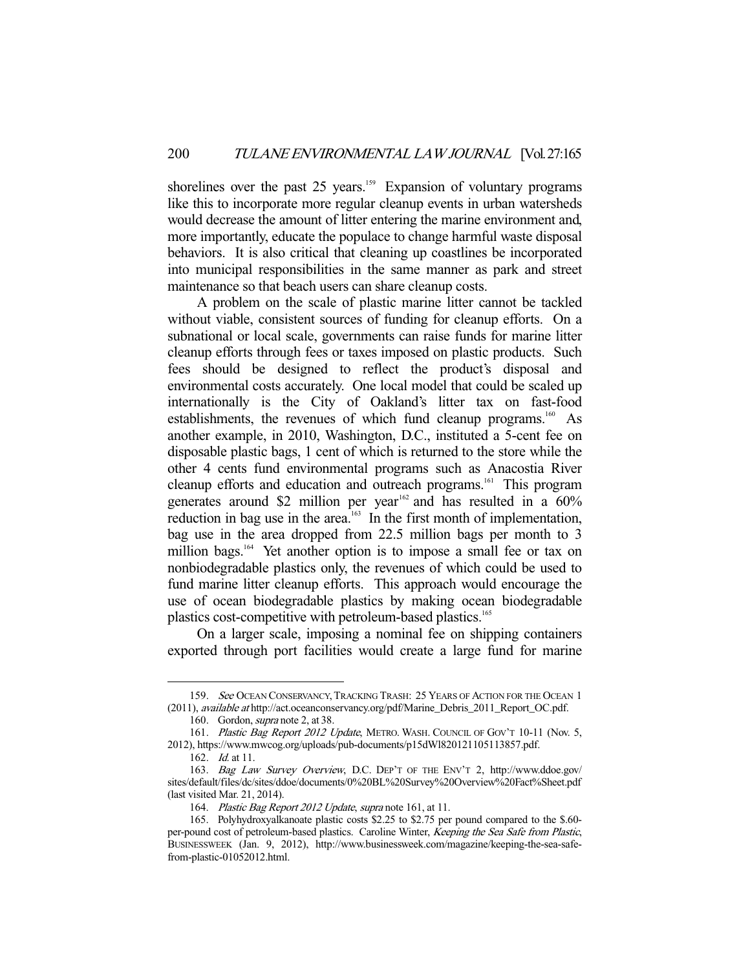shorelines over the past 25 years.<sup>159</sup> Expansion of voluntary programs like this to incorporate more regular cleanup events in urban watersheds would decrease the amount of litter entering the marine environment and, more importantly, educate the populace to change harmful waste disposal behaviors. It is also critical that cleaning up coastlines be incorporated into municipal responsibilities in the same manner as park and street maintenance so that beach users can share cleanup costs.

 A problem on the scale of plastic marine litter cannot be tackled without viable, consistent sources of funding for cleanup efforts. On a subnational or local scale, governments can raise funds for marine litter cleanup efforts through fees or taxes imposed on plastic products. Such fees should be designed to reflect the product's disposal and environmental costs accurately. One local model that could be scaled up internationally is the City of Oakland's litter tax on fast-food establishments, the revenues of which fund cleanup programs.<sup>160</sup> As another example, in 2010, Washington, D.C., instituted a 5-cent fee on disposable plastic bags, 1 cent of which is returned to the store while the other 4 cents fund environmental programs such as Anacostia River cleanup efforts and education and outreach programs.<sup>161</sup> This program generates around \$2 million per year<sup>162</sup> and has resulted in a  $60\%$ reduction in bag use in the area.<sup>163</sup> In the first month of implementation, bag use in the area dropped from 22.5 million bags per month to 3 million bags.<sup>164</sup> Yet another option is to impose a small fee or tax on nonbiodegradable plastics only, the revenues of which could be used to fund marine litter cleanup efforts. This approach would encourage the use of ocean biodegradable plastics by making ocean biodegradable plastics cost-competitive with petroleum-based plastics.<sup>165</sup>

 On a larger scale, imposing a nominal fee on shipping containers exported through port facilities would create a large fund for marine

<sup>159.</sup> See OCEAN CONSERVANCY, TRACKING TRASH: 25 YEARS OF ACTION FOR THE OCEAN 1 (2011), available at http://act.oceanconservancy.org/pdf/Marine\_Debris\_2011\_Report\_OC.pdf.

<sup>160.</sup> Gordon, *supra* note 2, at 38.

<sup>161.</sup> Plastic Bag Report 2012 Update, METRO. WASH. COUNCIL OF GOV'T 10-11 (Nov. 5, 2012), https://www.mwcog.org/uploads/pub-documents/p15dWl820121105113857.pdf.

 <sup>162.</sup> Id. at 11.

 <sup>163.</sup> Bag Law Survey Overview, D.C. DEP'T OF THE ENV'T 2, http://www.ddoe.gov/ sites/default/files/dc/sites/ddoe/documents/0%20BL%20Survey%20Overview%20Fact%Sheet.pdf (last visited Mar. 21, 2014).

 <sup>164.</sup> Plastic Bag Report 2012 Update, supra note 161, at 11.

 <sup>165.</sup> Polyhydroxyalkanoate plastic costs \$2.25 to \$2.75 per pound compared to the \$.60 per-pound cost of petroleum-based plastics. Caroline Winter, Keeping the Sea Safe from Plastic, BUSINESSWEEK (Jan. 9, 2012), http://www.businessweek.com/magazine/keeping-the-sea-safefrom-plastic-01052012.html.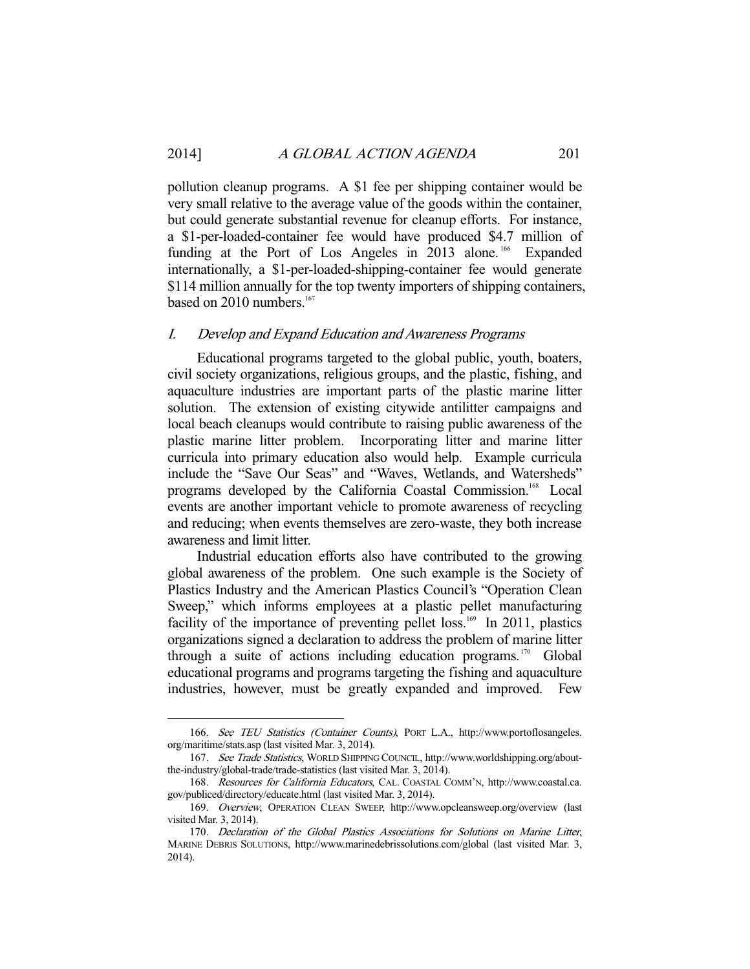pollution cleanup programs. A \$1 fee per shipping container would be very small relative to the average value of the goods within the container, but could generate substantial revenue for cleanup efforts. For instance, a \$1-per-loaded-container fee would have produced \$4.7 million of funding at the Port of Los Angeles in 2013 alone.<sup>166</sup> Expanded internationally, a \$1-per-loaded-shipping-container fee would generate \$114 million annually for the top twenty importers of shipping containers, based on  $2010$  numbers.<sup>167</sup>

#### I. Develop and Expand Education and Awareness Programs

 Educational programs targeted to the global public, youth, boaters, civil society organizations, religious groups, and the plastic, fishing, and aquaculture industries are important parts of the plastic marine litter solution. The extension of existing citywide antilitter campaigns and local beach cleanups would contribute to raising public awareness of the plastic marine litter problem. Incorporating litter and marine litter curricula into primary education also would help. Example curricula include the "Save Our Seas" and "Waves, Wetlands, and Watersheds" programs developed by the California Coastal Commission.<sup>168</sup> Local events are another important vehicle to promote awareness of recycling and reducing; when events themselves are zero-waste, they both increase awareness and limit litter.

 Industrial education efforts also have contributed to the growing global awareness of the problem. One such example is the Society of Plastics Industry and the American Plastics Council's "Operation Clean Sweep," which informs employees at a plastic pellet manufacturing facility of the importance of preventing pellet  $loss<sup>169</sup>$  In 2011, plastics organizations signed a declaration to address the problem of marine litter through a suite of actions including education programs.<sup>170</sup> Global educational programs and programs targeting the fishing and aquaculture industries, however, must be greatly expanded and improved. Few

 <sup>166.</sup> See TEU Statistics (Container Counts), PORT L.A., http://www.portoflosangeles. org/maritime/stats.asp (last visited Mar. 3, 2014).

 <sup>167.</sup> See Trade Statistics, WORLD SHIPPING COUNCIL, http://www.worldshipping.org/aboutthe-industry/global-trade/trade-statistics (last visited Mar. 3, 2014).

 <sup>168.</sup> Resources for California Educators, CAL. COASTAL COMM'N, http://www.coastal.ca. gov/publiced/directory/educate.html (last visited Mar. 3, 2014).

 <sup>169.</sup> Overview, OPERATION CLEAN SWEEP, http://www.opcleansweep.org/overview (last visited Mar. 3, 2014).

 <sup>170.</sup> Declaration of the Global Plastics Associations for Solutions on Marine Litter, MARINE DEBRIS SOLUTIONS, http://www.marinedebrissolutions.com/global (last visited Mar. 3, 2014).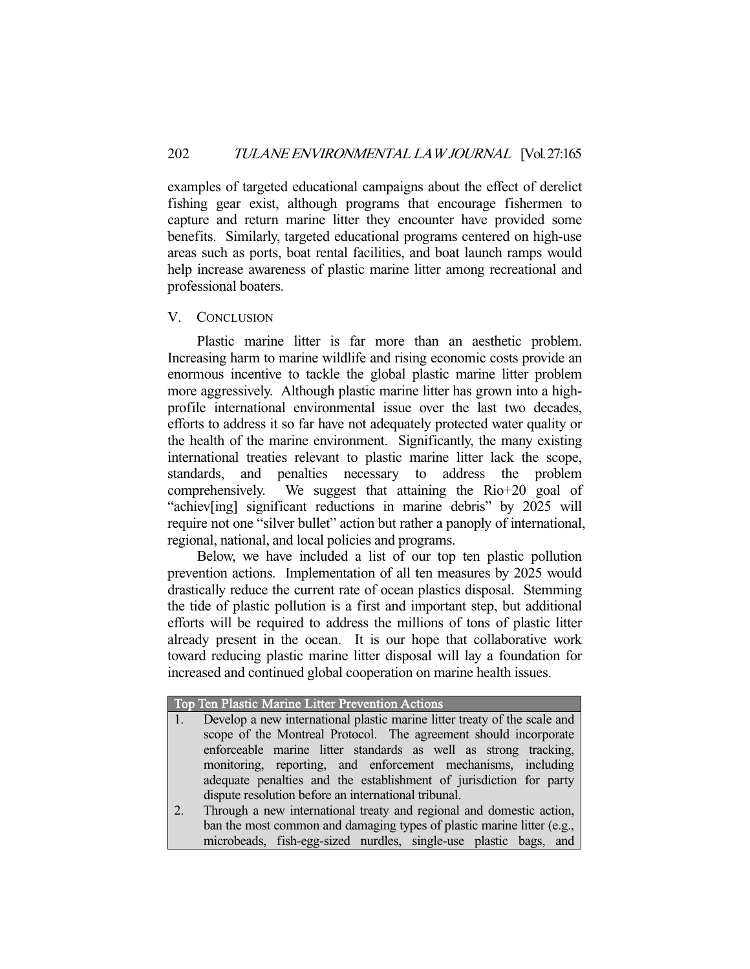examples of targeted educational campaigns about the effect of derelict fishing gear exist, although programs that encourage fishermen to capture and return marine litter they encounter have provided some benefits. Similarly, targeted educational programs centered on high-use areas such as ports, boat rental facilities, and boat launch ramps would help increase awareness of plastic marine litter among recreational and professional boaters.

### V. CONCLUSION

 Plastic marine litter is far more than an aesthetic problem. Increasing harm to marine wildlife and rising economic costs provide an enormous incentive to tackle the global plastic marine litter problem more aggressively. Although plastic marine litter has grown into a highprofile international environmental issue over the last two decades, efforts to address it so far have not adequately protected water quality or the health of the marine environment. Significantly, the many existing international treaties relevant to plastic marine litter lack the scope, standards, and penalties necessary to address the problem comprehensively. We suggest that attaining the Rio+20 goal of "achiev[ing] significant reductions in marine debris" by 2025 will require not one "silver bullet" action but rather a panoply of international, regional, national, and local policies and programs.

 Below, we have included a list of our top ten plastic pollution prevention actions. Implementation of all ten measures by 2025 would drastically reduce the current rate of ocean plastics disposal. Stemming the tide of plastic pollution is a first and important step, but additional efforts will be required to address the millions of tons of plastic litter already present in the ocean. It is our hope that collaborative work toward reducing plastic marine litter disposal will lay a foundation for increased and continued global cooperation on marine health issues.

| Top Ten Plastic Marine Litter Prevention Actions |      |  |  |  |  |  |                                                                           |  |  |
|--------------------------------------------------|------|--|--|--|--|--|---------------------------------------------------------------------------|--|--|
|                                                  | 4. 7 |  |  |  |  |  | Develop a new international plastic marine litter treaty of the scale and |  |  |
|                                                  |      |  |  |  |  |  | scope of the Montreal Protocol. The agreement should incorporate          |  |  |
|                                                  |      |  |  |  |  |  |                                                                           |  |  |

- enforceable marine litter standards as well as strong tracking, monitoring, reporting, and enforcement mechanisms, including adequate penalties and the establishment of jurisdiction for party dispute resolution before an international tribunal.
- 2. Through a new international treaty and regional and domestic action, ban the most common and damaging types of plastic marine litter (e.g., microbeads, fish-egg-sized nurdles, single-use plastic bags, and